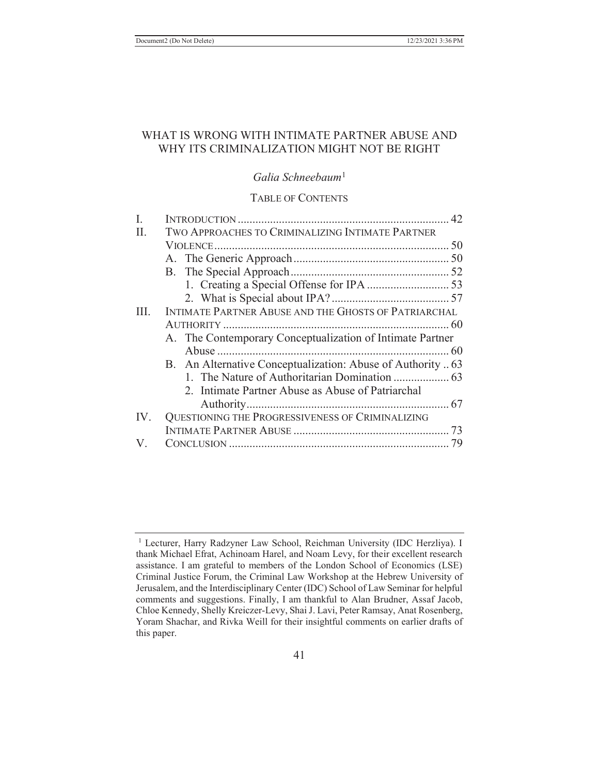# WHAT IS WRONG WITH INTIMATE PARTNER ABUSE AND WHY ITS CRIMINALIZATION MIGHT NOT BE RIGHT

## *Galia Schneebaum*<sup>1</sup>

#### TABLE OF CONTENTS

| I.  |                                                             |
|-----|-------------------------------------------------------------|
| II. | TWO APPROACHES TO CRIMINALIZING INTIMATE PARTNER            |
|     |                                                             |
|     |                                                             |
|     |                                                             |
|     |                                                             |
|     |                                                             |
| HL. | INTIMATE PARTNER ABUSE AND THE GHOSTS OF PATRIARCHAL        |
|     |                                                             |
|     | A. The Contemporary Conceptualization of Intimate Partner   |
|     |                                                             |
|     | B. An Alternative Conceptualization: Abuse of Authority  63 |
|     |                                                             |
|     | 2. Intimate Partner Abuse as Abuse of Patriarchal           |
|     |                                                             |
| IV. | QUESTIONING THE PROGRESSIVENESS OF CRIMINALIZING            |
|     |                                                             |
| V.  |                                                             |

<sup>&</sup>lt;sup>1</sup> Lecturer, Harry Radzyner Law School, Reichman University (IDC Herzliya). I thank Michael Efrat, Achinoam Harel, and Noam Levy, for their excellent research assistance. I am grateful to members of the London School of Economics (LSE) Criminal Justice Forum, the Criminal Law Workshop at the Hebrew University of Jerusalem, and the Interdisciplinary Center (IDC) School of Law Seminar for helpful comments and suggestions. Finally, I am thankful to Alan Brudner, Assaf Jacob, Chloe Kennedy, Shelly Kreiczer-Levy, Shai J. Lavi, Peter Ramsay, Anat Rosenberg, Yoram Shachar, and Rivka Weill for their insightful comments on earlier drafts of this paper.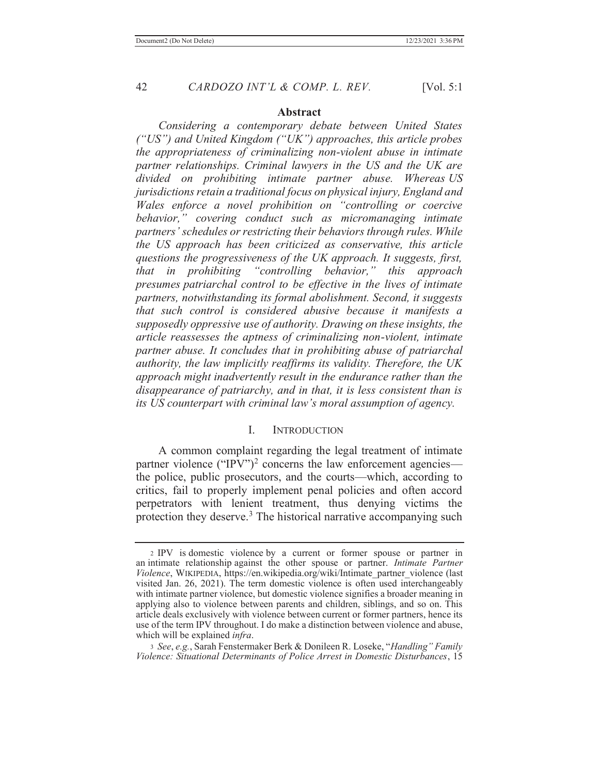#### **Abstract**

 *Considering a contemporary debate between United States ("US") and United Kingdom ("UK") approaches, this article probes the appropriateness of criminalizing non-violent abuse in intimate partner relationships. Criminal lawyers in the US and the UK are divided on prohibiting intimate partner abuse. Whereas US jurisdictions retain a traditional focus on physical injury, England and Wales enforce a novel prohibition on "controlling or coercive behavior," covering conduct such as micromanaging intimate partners' schedules or restricting their behaviors through rules. While the US approach has been criticized as conservative, this article questions the progressiveness of the UK approach. It suggests, first, that in prohibiting "controlling behavior," this approach presumes patriarchal control to be effective in the lives of intimate partners, notwithstanding its formal abolishment. Second, it suggests that such control is considered abusive because it manifests a supposedly oppressive use of authority. Drawing on these insights, the article reassesses the aptness of criminalizing non-violent, intimate partner abuse. It concludes that in prohibiting abuse of patriarchal authority, the law implicitly reaffirms its validity. Therefore, the UK approach might inadvertently result in the endurance rather than the disappearance of patriarchy, and in that, it is less consistent than is its US counterpart with criminal law's moral assumption of agency.*

#### I. INTRODUCTION

 A common complaint regarding the legal treatment of intimate partner violence ("IPV")<sup>2</sup> concerns the law enforcement agencies the police, public prosecutors, and the courts—which, according to critics, fail to properly implement penal policies and often accord perpetrators with lenient treatment, thus denying victims the protection they deserve.<sup>3</sup> The historical narrative accompanying such

<sup>2</sup> IPV is domestic violence by a current or former spouse or partner in an intimate relationship against the other spouse or partner. *Intimate Partner Violence*, WIKIPEDIA, https://en.wikipedia.org/wiki/Intimate\_partner\_violence (last visited Jan. 26, 2021). The term domestic violence is often used interchangeably with intimate partner violence, but domestic violence signifies a broader meaning in applying also to violence between parents and children, siblings, and so on. This article deals exclusively with violence between current or former partners, hence its use of the term IPV throughout. I do make a distinction between violence and abuse, which will be explained *infra*.

<sup>3</sup> *See*, *e.g.*, Sarah Fenstermaker Berk & Donileen R. Loseke, "*Handling" Family Violence: Situational Determinants of Police Arrest in Domestic Disturbances*, 15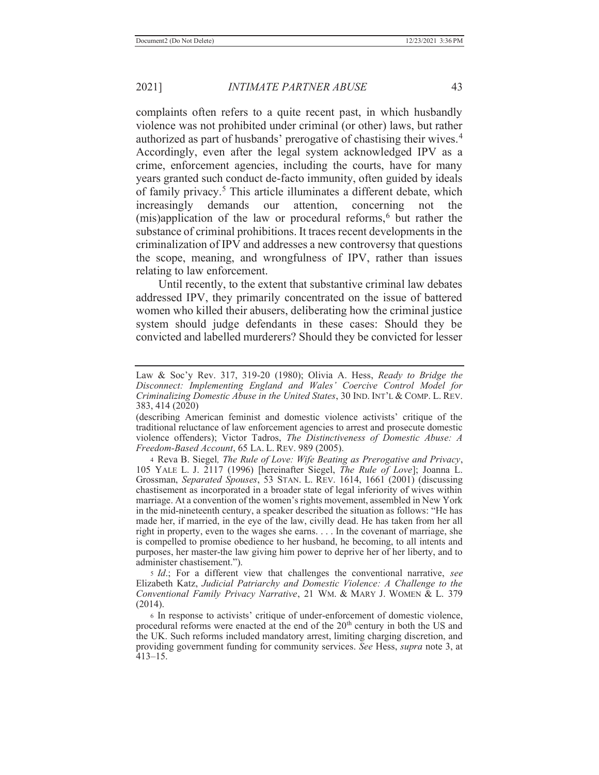complaints often refers to a quite recent past, in which husbandly violence was not prohibited under criminal (or other) laws, but rather authorized as part of husbands' prerogative of chastising their wives.<sup>4</sup> Accordingly, even after the legal system acknowledged IPV as a crime, enforcement agencies, including the courts, have for many years granted such conduct de-facto immunity, often guided by ideals of family privacy.<sup>5</sup> This article illuminates a different debate, which increasingly demands our attention, concerning not the  $(mis)$ application of the law or procedural reforms,<sup>6</sup> but rather the substance of criminal prohibitions. It traces recent developments in the criminalization of IPV and addresses a new controversy that questions the scope, meaning, and wrongfulness of IPV, rather than issues relating to law enforcement.

 Until recently, to the extent that substantive criminal law debates addressed IPV, they primarily concentrated on the issue of battered women who killed their abusers, deliberating how the criminal justice system should judge defendants in these cases: Should they be convicted and labelled murderers? Should they be convicted for lesser

4 Reva B. Siegel*, The Rule of Love: Wife Beating as Prerogative and Privacy*, 105 YALE L. J. 2117 (1996) [hereinafter Siegel, *The Rule of Love*]; Joanna L. Grossman, *Separated Spouses*, 53 STAN. L. REV. 1614, 1661 (2001) (discussing chastisement as incorporated in a broader state of legal inferiority of wives within marriage. At a convention of the women's rights movement, assembled in New York in the mid-nineteenth century, a speaker described the situation as follows: "He has made her, if married, in the eye of the law, civilly dead. He has taken from her all right in property, even to the wages she earns. . . . In the covenant of marriage, she is compelled to promise obedience to her husband, he becoming, to all intents and purposes, her master-the law giving him power to deprive her of her liberty, and to administer chastisement.").

<sup>5</sup> *Id*.; For a different view that challenges the conventional narrative, *see* Elizabeth Katz, *Judicial Patriarchy and Domestic Violence: A Challenge to the Conventional Family Privacy Narrative*, 21 WM. & MARY J. WOMEN & L. 379 (2014).

<sup>6</sup> In response to activists' critique of under-enforcement of domestic violence, procedural reforms were enacted at the end of the 20<sup>th</sup> century in both the US and the UK. Such reforms included mandatory arrest, limiting charging discretion, and providing government funding for community services. *See* Hess, *supra* note 3, at 413–15.

Law & Soc'y Rev. 317, 319-20 (1980); Olivia A. Hess, *Ready to Bridge the Disconnect: Implementing England and Wales' Coercive Control Model for Criminalizing Domestic Abuse in the United States*, 30 IND. INT'L & COMP. L. REV. 383, 414 (2020)

<sup>(</sup>describing American feminist and domestic violence activists' critique of the traditional reluctance of law enforcement agencies to arrest and prosecute domestic violence offenders); Victor Tadros, *The Distinctiveness of Domestic Abuse: A Freedom-Based Account*, 65 LA. L. REV. 989 (2005).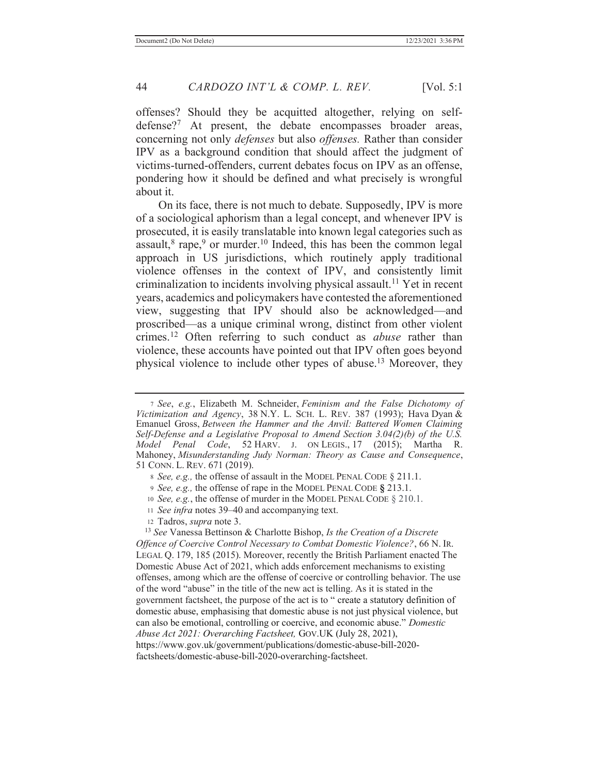offenses? Should they be acquitted altogether, relying on selfdefense?<sup>7</sup> At present, the debate encompasses broader areas, concerning not only *defenses* but also *offenses.* Rather than consider IPV as a background condition that should affect the judgment of victims-turned-offenders, current debates focus on IPV as an offense, pondering how it should be defined and what precisely is wrongful about it.

 On its face, there is not much to debate. Supposedly, IPV is more of a sociological aphorism than a legal concept, and whenever IPV is prosecuted, it is easily translatable into known legal categories such as assault, $8 \text{ rape}$ ,  $9 \text{ or murder}$ .<sup>10</sup> Indeed, this has been the common legal approach in US jurisdictions, which routinely apply traditional violence offenses in the context of IPV, and consistently limit criminalization to incidents involving physical assault.<sup>11</sup> Yet in recent years, academics and policymakers have contested the aforementioned view, suggesting that IPV should also be acknowledged—and proscribed—as a unique criminal wrong, distinct from other violent crimes.12 Often referring to such conduct as *abuse* rather than violence, these accounts have pointed out that IPV often goes beyond physical violence to include other types of abuse.13 Moreover, they

- <sup>9</sup> *See, e.g.,* the offense of rape in the MODEL PENAL CODE **§** 213.1.
- <sup>10</sup> *See, e.g.*, the offense of murder in the MODEL PENAL CODE § 210.1.
- <sup>11</sup> *See infra* notes 39–40 and accompanying text.
- 12 Tadros, *supra* note 3.

<sup>13</sup> *See* Vanessa Bettinson & Charlotte Bishop, *Is the Creation of a Discrete Offence of Coercive Control Necessary to Combat Domestic Violence?*, 66 N. IR. LEGAL Q. 179, 185 (2015). Moreover, recently the British Parliament enacted The Domestic Abuse Act of 2021, which adds enforcement mechanisms to existing offenses, among which are the offense of coercive or controlling behavior. The use of the word "abuse" in the title of the new act is telling. As it is stated in the government factsheet, the purpose of the act is to " create a statutory definition of domestic abuse, emphasising that domestic abuse is not just physical violence, but can also be emotional, controlling or coercive, and economic abuse." *Domestic Abuse Act 2021: Overarching Factsheet,* GOV.UK (July 28, 2021), https://www.gov.uk/government/publications/domestic-abuse-bill-2020 factsheets/domestic-abuse-bill-2020-overarching-factsheet.

<sup>7</sup> *See*, *e.g.*, Elizabeth M. Schneider, *Feminism and the False Dichotomy of Victimization and Agency*, 38 N.Y. L. SCH. L. REV. 387 (1993); Hava Dyan & Emanuel Gross, *Between the Hammer and the Anvil: Battered Women Claiming*  Self-Defense and a Legislative Proposal to Amend Section 3.04(2)(b) of the U.S. *Model Penal Code*, 52 HARV. J. ON LEGIS., 17 (2015); Martha R. *Model Penal Code*, 52 HARV. J. ON LEGIS., 17 (2015); Martha R. Mahoney, *Misunderstanding Judy Norman: Theory as Cause and Consequence*, 51 CONN. L. REV. 671 (2019).

<sup>8</sup> *See, e.g.,* the offense of assault in the MODEL PENAL CODE § 211.1.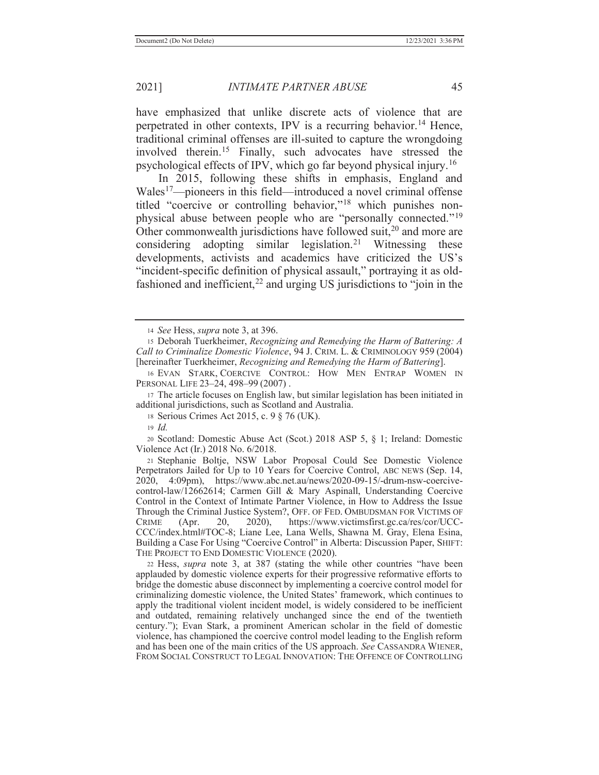have emphasized that unlike discrete acts of violence that are perpetrated in other contexts, IPV is a recurring behavior.<sup>14</sup> Hence, traditional criminal offenses are ill-suited to capture the wrongdoing involved therein.15 Finally, such advocates have stressed the psychological effects of IPV, which go far beyond physical injury.16

 In 2015, following these shifts in emphasis, England and Wales<sup>17</sup>—pioneers in this field—introduced a novel criminal offense titled "coercive or controlling behavior,"18 which punishes nonphysical abuse between people who are "personally connected."<sup>19</sup> Other commonwealth jurisdictions have followed suit, $^{20}$  and more are considering adopting similar legislation.<sup>21</sup> Witnessing these developments, activists and academics have criticized the US's "incident-specific definition of physical assault," portraying it as oldfashioned and inefficient, $22$  and urging US jurisdictions to "join in the

20 Scotland: Domestic Abuse Act (Scot.) 2018 ASP 5, § 1; Ireland: Domestic Violence Act (Ir.) 2018 No. 6/2018.

<sup>21</sup> Stephanie Boltje, NSW Labor Proposal Could See Domestic Violence Perpetrators Jailed for Up to 10 Years for Coercive Control, ABC NEWS (Sep. 14, 2020, 4:09pm), https://www.abc.net.au/news/2020-09-15/-drum-nsw-coercivecontrol-law/12662614; Carmen Gill & Mary Aspinall, Understanding Coercive Control in the Context of Intimate Partner Violence, in How to Address the Issue Through the Criminal Justice System?, OFF. OF FED. OMBUDSMAN FOR VICTIMS OF CRIME (Apr. 20, 2020), https://www.victimsfirst.gc.ca/res/cor/UCC-CCC/index.html#TOC-8; Liane Lee, Lana Wells, Shawna M. Gray, Elena Esina, Building a Case For Using "Coercive Control" in Alberta: Discussion Paper, SHIFT: THE PROJECT TO END DOMESTIC VIOLENCE (2020).

22 Hess, *supra* note 3, at 387 (stating the while other countries "have been applauded by domestic violence experts for their progressive reformative efforts to bridge the domestic abuse disconnect by implementing a coercive control model for criminalizing domestic violence, the United States' framework, which continues to apply the traditional violent incident model, is widely considered to be inefficient and outdated, remaining relatively unchanged since the end of the twentieth century."); Evan Stark, a prominent American scholar in the field of domestic violence, has championed the coercive control model leading to the English reform and has been one of the main critics of the US approach. *See* CASSANDRA WIENER, FROM SOCIAL CONSTRUCT TO LEGAL INNOVATION: THE OFFENCE OF CONTROLLING

<sup>14</sup> *See* Hess, *supra* note 3, at 396.

<sup>15</sup> Deborah Tuerkheimer, *Recognizing and Remedying the Harm of Battering: A Call to Criminalize Domestic Violence*, 94 J. CRIM. L. & CRIMINOLOGY 959 (2004) [hereinafter Tuerkheimer, *Recognizing and Remedying the Harm of Battering*].

<sup>16</sup> EVAN STARK, COERCIVE CONTROL: HOW MEN ENTRAP WOMEN IN PERSONAL LIFE 23–24, 498–99 (2007) .

<sup>17</sup> The article focuses on English law, but similar legislation has been initiated in additional jurisdictions, such as Scotland and Australia.

<sup>18</sup> Serious Crimes Act 2015, c. 9 § 76 (UK).

<sup>19</sup> *Id.*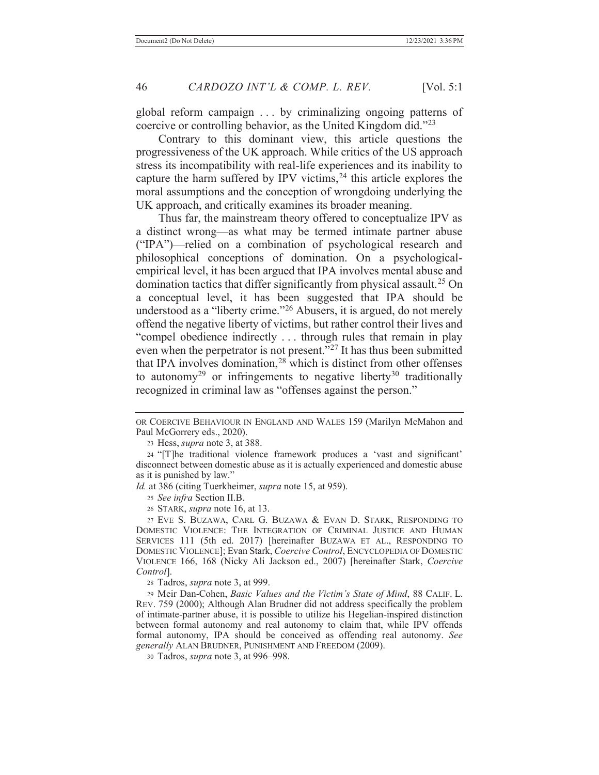global reform campaign . . . by criminalizing ongoing patterns of coercive or controlling behavior, as the United Kingdom did."<sup>23</sup>

 Contrary to this dominant view, this article questions the progressiveness of the UK approach. While critics of the US approach stress its incompatibility with real-life experiences and its inability to capture the harm suffered by IPV victims,  $24$  this article explores the moral assumptions and the conception of wrongdoing underlying the UK approach, and critically examines its broader meaning.

 Thus far, the mainstream theory offered to conceptualize IPV as a distinct wrong—as what may be termed intimate partner abuse ("IPA")—relied on a combination of psychological research and philosophical conceptions of domination. On a psychologicalempirical level, it has been argued that IPA involves mental abuse and domination tactics that differ significantly from physical assault.<sup>25</sup> On a conceptual level, it has been suggested that IPA should be understood as a "liberty crime."26 Abusers, it is argued, do not merely offend the negative liberty of victims, but rather control their lives and "compel obedience indirectly . . . through rules that remain in play even when the perpetrator is not present."<sup>27</sup> It has thus been submitted that IPA involves domination,<sup>28</sup> which is distinct from other offenses to autonomy<sup>29</sup> or infringements to negative liberty<sup>30</sup> traditionally recognized in criminal law as "offenses against the person."

*Id.* at 386 (citing Tuerkheimer, *supra* note 15, at 959).

<sup>25</sup> *See infra* Section II.B.

26 STARK, *supra* note 16, at 13.

27 EVE S. BUZAWA, CARL G. BUZAWA & EVAN D. STARK, RESPONDING TO DOMESTIC VIOLENCE: THE INTEGRATION OF CRIMINAL JUSTICE AND HUMAN SERVICES 111 (5th ed. 2017) [hereinafter BUZAWA ET AL., RESPONDING TO DOMESTIC VIOLENCE]; Evan Stark, *Coercive Control*, ENCYCLOPEDIA OF DOMESTIC VIOLENCE 166, 168 (Nicky Ali Jackson ed., 2007) [hereinafter Stark, *Coercive Control*].

28 Tadros, *supra* note 3, at 999.

29 Meir Dan-Cohen, *Basic Values and the Victim's State of Mind*, 88 CALIF. L. REV. 759 (2000); Although Alan Brudner did not address specifically the problem of intimate-partner abuse, it is possible to utilize his Hegelian-inspired distinction between formal autonomy and real autonomy to claim that, while IPV offends formal autonomy, IPA should be conceived as offending real autonomy. *See generally* ALAN BRUDNER, PUNISHMENT AND FREEDOM (2009).

30 Tadros, *supra* note 3, at 996–998.

OR COERCIVE BEHAVIOUR IN ENGLAND AND WALES 159 (Marilyn McMahon and Paul McGorrery eds., 2020).

<sup>23</sup> Hess, *supra* note 3, at 388.

<sup>24</sup> "[T]he traditional violence framework produces a 'vast and significant' disconnect between domestic abuse as it is actually experienced and domestic abuse as it is punished by law."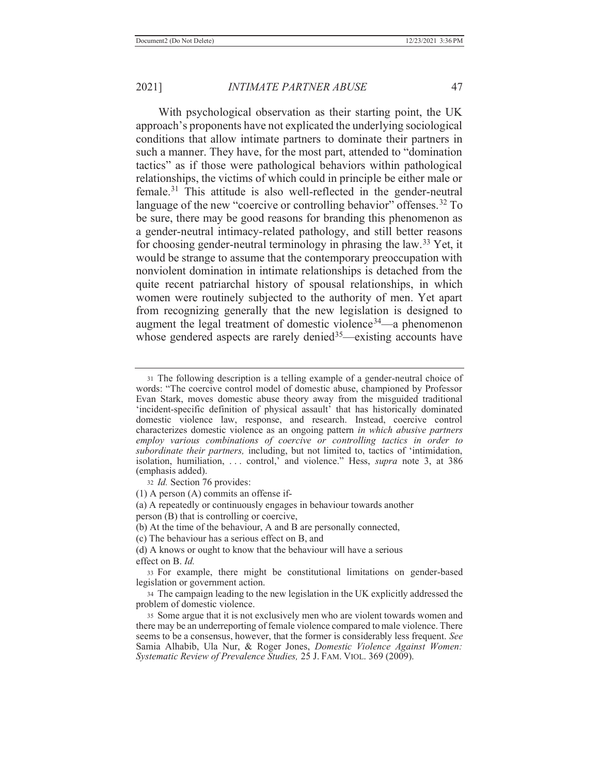With psychological observation as their starting point, the UK approach's proponents have not explicated the underlying sociological conditions that allow intimate partners to dominate their partners in such a manner. They have, for the most part, attended to "domination tactics" as if those were pathological behaviors within pathological relationships, the victims of which could in principle be either male or female.31 This attitude is also well-reflected in the gender-neutral language of the new "coercive or controlling behavior" offenses.<sup>32</sup> To be sure, there may be good reasons for branding this phenomenon as a gender-neutral intimacy-related pathology, and still better reasons for choosing gender-neutral terminology in phrasing the law.33 Yet, it would be strange to assume that the contemporary preoccupation with nonviolent domination in intimate relationships is detached from the quite recent patriarchal history of spousal relationships, in which women were routinely subjected to the authority of men. Yet apart from recognizing generally that the new legislation is designed to augment the legal treatment of domestic violence<sup>34</sup>—a phenomenon whose gendered aspects are rarely denied<sup>35</sup>—existing accounts have

<sup>32</sup> *Id.* Section 76 provides:

(1) A person (A) commits an offense if-

(a) A repeatedly or continuously engages in behaviour towards another

person (B) that is controlling or coercive,

(b) At the time of the behaviour, A and B are personally connected,

(c) The behaviour has a serious effect on B, and

(d) A knows or ought to know that the behaviour will have a serious effect on B. *Id.*

33 For example, there might be constitutional limitations on gender-based legislation or government action.

34 The campaign leading to the new legislation in the UK explicitly addressed the problem of domestic violence.

35 Some argue that it is not exclusively men who are violent towards women and there may be an underreporting of female violence compared to male violence. There seems to be a consensus, however, that the former is considerably less frequent. *See* Samia Alhabib, Ula Nur, & Roger Jones, *Domestic Violence Against Women: Systematic Review of Prevalence Studies,* 25 J. FAM. VIOL. 369 (2009).

<sup>31</sup> The following description is a telling example of a gender-neutral choice of words: "The coercive control model of domestic abuse, championed by Professor Evan Stark, moves domestic abuse theory away from the misguided traditional 'incident-specific definition of physical assault' that has historically dominated domestic violence law, response, and research. Instead, coercive control characterizes domestic violence as an ongoing pattern *in which abusive partners employ various combinations of coercive or controlling tactics in order to subordinate their partners,* including, but not limited to, tactics of 'intimidation, isolation, humiliation, . . . control,' and violence." Hess, *supra* note 3, at 386 (emphasis added).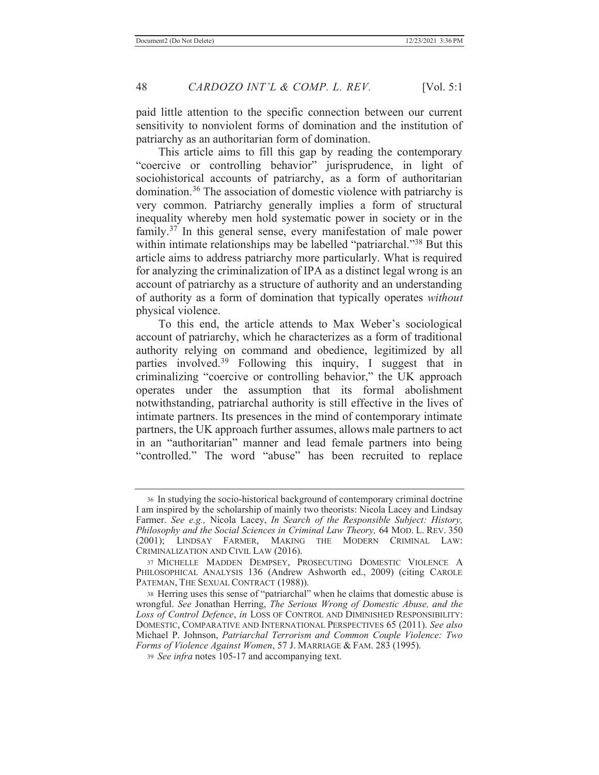paid little attention to the specific connection between our current sensitivity to nonviolent forms of domination and the institution of patriarchy as an authoritarian form of domination.

 This article aims to fill this gap by reading the contemporary "coercive or controlling behavior" jurisprudence, in light of sociohistorical accounts of patriarchy, as a form of authoritarian domination.36 The association of domestic violence with patriarchy is very common. Patriarchy generally implies a form of structural inequality whereby men hold systematic power in society or in the family.<sup>37</sup> In this general sense, every manifestation of male power within intimate relationships may be labelled "patriarchal."<sup>38</sup> But this article aims to address patriarchy more particularly. What is required for analyzing the criminalization of IPA as a distinct legal wrong is an account of patriarchy as a structure of authority and an understanding of authority as a form of domination that typically operates *without* physical violence.

To this end, the article attends to Max Weber's sociological account of patriarchy, which he characterizes as a form of traditional authority relying on command and obedience, legitimized by all parties involved.39 Following this inquiry, I suggest that in criminalizing "coercive or controlling behavior," the UK approach operates under the assumption that its formal abolishment notwithstanding, patriarchal authority is still effective in the lives of intimate partners. Its presences in the mind of contemporary intimate partners, the UK approach further assumes, allows male partners to act in an "authoritarian" manner and lead female partners into being "controlled." The word "abuse" has been recruited to replace

<sup>36</sup> In studying the socio-historical background of contemporary criminal doctrine I am inspired by the scholarship of mainly two theorists: Nicola Lacey and Lindsay Farmer. *See e.g.,* Nicola Lacey, *In Search of the Responsible Subject: History, Philosophy and the Social Sciences in Criminal Law Theory,* 64 MOD. L. REV. 350 (2001); LINDSAY FARMER, MAKING THE MODERN CRIMINAL LAW: CRIMINALIZATION AND CIVIL LAW (2016).

<sup>37</sup> MICHELLE MADDEN DEMPSEY, PROSECUTING DOMESTIC VIOLENCE A PHILOSOPHICAL ANALYSIS 136 (Andrew Ashworth ed., 2009) (citing CAROLE PATEMAN, THE SEXUAL CONTRACT (1988)).

<sup>38</sup> Herring uses this sense of "patriarchal" when he claims that domestic abuse is wrongful. *See* Jonathan Herring, *The Serious Wrong of Domestic Abuse, and the Loss of Control Defence*, *in* LOSS OF CONTROL AND DIMINISHED RESPONSIBILITY: DOMESTIC, COMPARATIVE AND INTERNATIONAL PERSPECTIVES 65 (2011). *See also* Michael P. Johnson, *Patriarchal Terrorism and Common Couple Violence: Two Forms of Violence Against Women*, 57 J. MARRIAGE & FAM. 283 (1995).

<sup>39</sup> *See infra* notes 105-17 and accompanying text.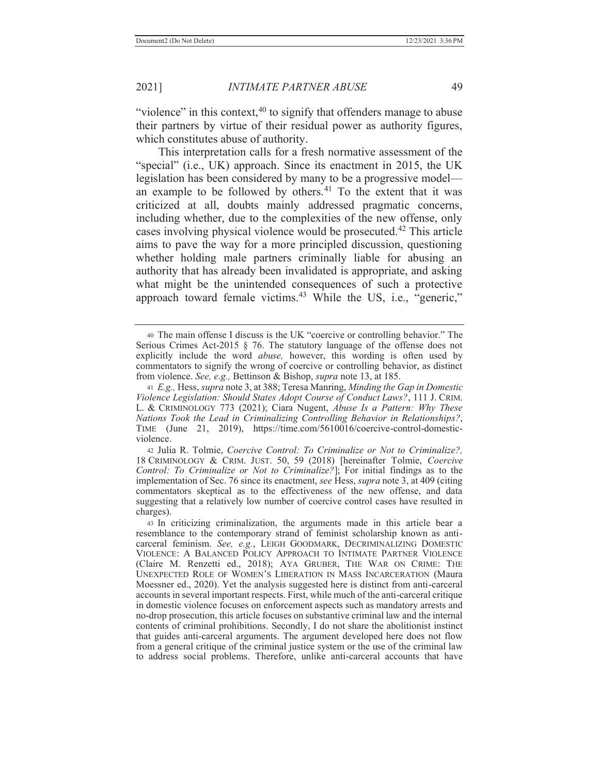"violence" in this context,  $40$  to signify that offenders manage to abuse their partners by virtue of their residual power as authority figures, which constitutes abuse of authority.

 This interpretation calls for a fresh normative assessment of the "special" (i.e., UK) approach. Since its enactment in 2015, the UK legislation has been considered by many to be a progressive model an example to be followed by others. $41$  To the extent that it was criticized at all, doubts mainly addressed pragmatic concerns, including whether, due to the complexities of the new offense, only cases involving physical violence would be prosecuted.42 This article aims to pave the way for a more principled discussion, questioning whether holding male partners criminally liable for abusing an authority that has already been invalidated is appropriate, and asking what might be the unintended consequences of such a protective approach toward female victims.<sup>43</sup> While the US, i.e., "generic,"

<sup>40</sup> The main offense I discuss is the UK "coercive or controlling behavior." The Serious Crimes Act-2015  $\S$  76. The statutory language of the offense does not explicitly include the word *abuse,* however, this wording is often used by commentators to signify the wrong of coercive or controlling behavior, as distinct from violence. *See, e.g.,* Bettinson & Bishop, *supra* note 13, at 185.

<sup>41</sup> *E.g.,* Hess, *supra* note 3, at 388; Teresa Manring, *Minding the Gap in Domestic Violence Legislation: Should States Adopt Course of Conduct Laws?*, 111 J. CRIM. L. & CRIMINOLOGY 773 (2021); Ciara Nugent, *Abuse Is a Pattern: Why These Nations Took the Lead in Criminalizing Controlling Behavior in Relationships?*, TIME (June 21, 2019), https://time.com/5610016/coercive-control-domesticviolence.

<sup>42</sup> Julia R. Tolmie, *Coercive Control: To Criminalize or Not to Criminalize?,*  18 CRIMINOLOGY & CRIM. JUST. 50, 59 (2018) [hereinafter Tolmie, *Coercive Control: To Criminalize or Not to Criminalize?*]; For initial findings as to the implementation of Sec. 76 since its enactment, *see* Hess, *supra* note 3, at 409 (citing commentators skeptical as to the effectiveness of the new offense, and data suggesting that a relatively low number of coercive control cases have resulted in charges).

<sup>43</sup> In criticizing criminalization, the arguments made in this article bear a resemblance to the contemporary strand of feminist scholarship known as anticarceral feminism. *See, e.g.*, LEIGH GOODMARK, DECRIMINALIZING DOMESTIC VIOLENCE: A BALANCED POLICY APPROACH TO INTIMATE PARTNER VIOLENCE (Claire M. Renzetti ed., 2018); AYA GRUBER, THE WAR ON CRIME: THE UNEXPECTED ROLE OF WOMEN'S LIBERATION IN MASS INCARCERATION (Maura Moessner ed., 2020). Yet the analysis suggested here is distinct from anti-carceral accounts in several important respects. First, while much of the anti-carceral critique in domestic violence focuses on enforcement aspects such as mandatory arrests and no-drop prosecution, this article focuses on substantive criminal law and the internal contents of criminal prohibitions. Secondly, I do not share the abolitionist instinct that guides anti-carceral arguments. The argument developed here does not flow from a general critique of the criminal justice system or the use of the criminal law to address social problems. Therefore, unlike anti-carceral accounts that have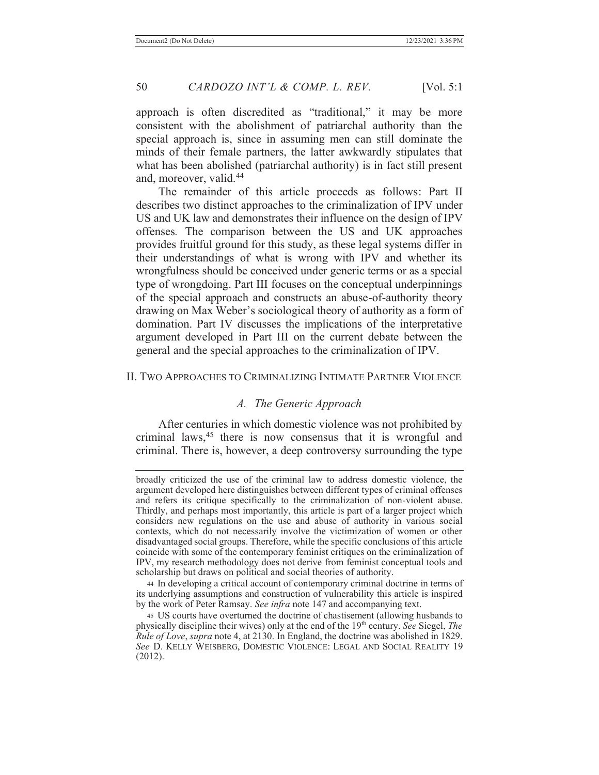approach is often discredited as "traditional," it may be more consistent with the abolishment of patriarchal authority than the special approach is, since in assuming men can still dominate the minds of their female partners, the latter awkwardly stipulates that what has been abolished (patriarchal authority) is in fact still present and, moreover, valid.44

 The remainder of this article proceeds as follows: Part II describes two distinct approaches to the criminalization of IPV under US and UK law and demonstrates their influence on the design of IPV offenses*.* The comparison between the US and UK approaches provides fruitful ground for this study, as these legal systems differ in their understandings of what is wrong with IPV and whether its wrongfulness should be conceived under generic terms or as a special type of wrongdoing. Part III focuses on the conceptual underpinnings of the special approach and constructs an abuse-of-authority theory drawing on Max Weber's sociological theory of authority as a form of domination. Part IV discusses the implications of the interpretative argument developed in Part III on the current debate between the general and the special approaches to the criminalization of IPV.

#### II. TWO APPROACHES TO CRIMINALIZING INTIMATE PARTNER VIOLENCE

#### *A. The Generic Approach*

 After centuries in which domestic violence was not prohibited by criminal laws,<sup>45</sup> there is now consensus that it is wrongful and criminal. There is, however, a deep controversy surrounding the type

broadly criticized the use of the criminal law to address domestic violence, the argument developed here distinguishes between different types of criminal offenses and refers its critique specifically to the criminalization of non-violent abuse. Thirdly, and perhaps most importantly, this article is part of a larger project which considers new regulations on the use and abuse of authority in various social contexts, which do not necessarily involve the victimization of women or other disadvantaged social groups. Therefore, while the specific conclusions of this article coincide with some of the contemporary feminist critiques on the criminalization of IPV, my research methodology does not derive from feminist conceptual tools and scholarship but draws on political and social theories of authority.

<sup>44</sup> In developing a critical account of contemporary criminal doctrine in terms of its underlying assumptions and construction of vulnerability this article is inspired by the work of Peter Ramsay. *See infra* note 147 and accompanying text.

<sup>45</sup> US courts have overturned the doctrine of chastisement (allowing husbands to physically discipline their wives) only at the end of the 19<sup>th</sup> century. *See* Siegel, *The Rule of Love*, *supra* note 4, at 2130. In England, the doctrine was abolished in 1829. *See* D. KELLY WEISBERG, DOMESTIC VIOLENCE: LEGAL AND SOCIAL REALITY 19 (2012).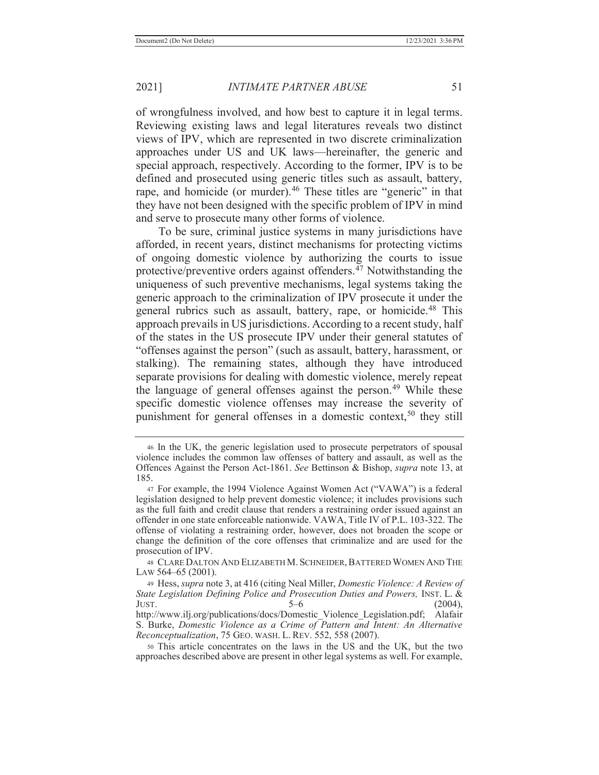of wrongfulness involved, and how best to capture it in legal terms. Reviewing existing laws and legal literatures reveals two distinct views of IPV, which are represented in two discrete criminalization approaches under US and UK laws—hereinafter, the generic and special approach, respectively. According to the former, IPV is to be defined and prosecuted using generic titles such as assault, battery, rape, and homicide (or murder).<sup>46</sup> These titles are "generic" in that they have not been designed with the specific problem of IPV in mind and serve to prosecute many other forms of violence.

 To be sure, criminal justice systems in many jurisdictions have afforded, in recent years, distinct mechanisms for protecting victims of ongoing domestic violence by authorizing the courts to issue protective/preventive orders against offenders.<sup> $47$ </sup> Notwithstanding the uniqueness of such preventive mechanisms, legal systems taking the generic approach to the criminalization of IPV prosecute it under the general rubrics such as assault, battery, rape, or homicide.<sup>48</sup> This approach prevails in US jurisdictions. According to a recent study, half of the states in the US prosecute IPV under their general statutes of "offenses against the person" (such as assault, battery, harassment, or stalking). The remaining states, although they have introduced separate provisions for dealing with domestic violence, merely repeat the language of general offenses against the person.<sup>49</sup> While these specific domestic violence offenses may increase the severity of punishment for general offenses in a domestic context,<sup>50</sup> they still

<sup>46</sup> In the UK, the generic legislation used to prosecute perpetrators of spousal violence includes the common law offenses of battery and assault, as well as the Offences Against the Person Act-1861. *See* Bettinson & Bishop, *supra* note 13, at 185.

<sup>47</sup> For example, the 1994 Violence Against Women Act ("VAWA") is a federal legislation designed to help prevent domestic violence; it includes provisions such as the full faith and credit clause that renders a restraining order issued against an offender in one state enforceable nationwide. VAWA, Title IV of P.L. 103-322. The offense of violating a restraining order, however, does not broaden the scope or change the definition of the core offenses that criminalize and are used for the prosecution of IPV.

<sup>48</sup> CLARE DALTON AND ELIZABETH M. SCHNEIDER, BATTERED WOMEN AND THE LAW 564–65 (2001).

<sup>49</sup> Hess, *supra* note 3, at 416 (citing Neal Miller, *Domestic Violence: A Review of State Legislation Defining Police and Prosecution Duties and Powers,* INST. L. & JUST.  $5-6$  (2004), http://www.ilj.org/publications/docs/Domestic\_Violence\_Legislation.pdf; Alafair S. Burke, *Domestic Violence as a Crime of Pattern and Intent: An Alternative Reconceptualization*, 75 GEO. WASH. L. REV. 552, 558 (2007).

<sup>50</sup> This article concentrates on the laws in the US and the UK, but the two approaches described above are present in other legal systems as well. For example,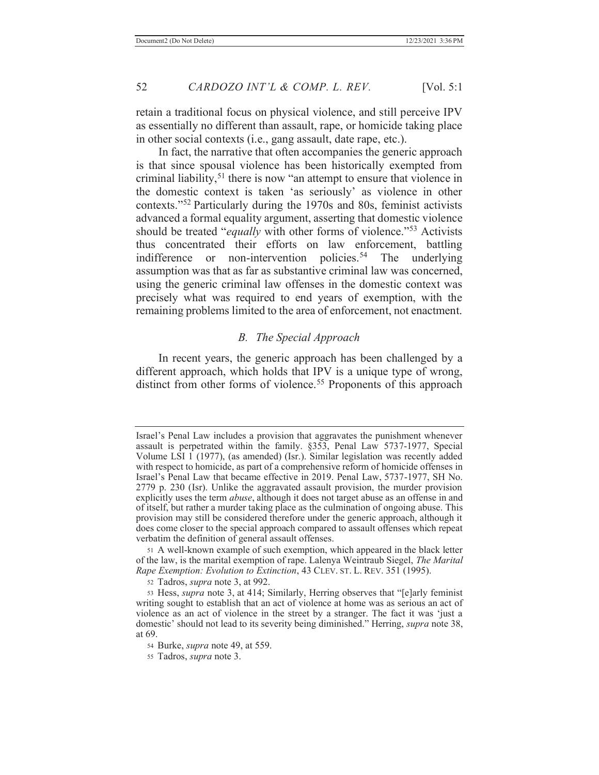retain a traditional focus on physical violence, and still perceive IPV as essentially no different than assault, rape, or homicide taking place in other social contexts (i.e., gang assault, date rape, etc.).

 In fact, the narrative that often accompanies the generic approach is that since spousal violence has been historically exempted from criminal liability,<sup>51</sup> there is now "an attempt to ensure that violence in the domestic context is taken 'as seriously' as violence in other contexts."52 Particularly during the 1970s and 80s, feminist activists advanced a formal equality argument, asserting that domestic violence should be treated "*equally* with other forms of violence."53 Activists thus concentrated their efforts on law enforcement, battling indifference or non-intervention policies.<sup>54</sup> The underlying assumption was that as far as substantive criminal law was concerned, using the generic criminal law offenses in the domestic context was precisely what was required to end years of exemption, with the remaining problems limited to the area of enforcement, not enactment.

## *B. The Special Approach*

 In recent years, the generic approach has been challenged by a different approach, which holds that IPV is a unique type of wrong, distinct from other forms of violence.<sup>55</sup> Proponents of this approach

52 Tadros, *supra* note 3, at 992.

Israel's Penal Law includes a provision that aggravates the punishment whenever assault is perpetrated within the family. §353, Penal Law 5737-1977, Special Volume LSI 1 (1977), (as amended) (Isr.). Similar legislation was recently added with respect to homicide, as part of a comprehensive reform of homicide offenses in Israel's Penal Law that became effective in 2019. Penal Law, 5737-1977, SH No. 2779 p. 230 (Isr). Unlike the aggravated assault provision, the murder provision explicitly uses the term *abuse*, although it does not target abuse as an offense in and of itself, but rather a murder taking place as the culmination of ongoing abuse. This provision may still be considered therefore under the generic approach, although it does come closer to the special approach compared to assault offenses which repeat verbatim the definition of general assault offenses.

<sup>51</sup> A well-known example of such exemption, which appeared in the black letter of the law, is the marital exemption of rape. Lalenya Weintraub Siegel, *The Marital Rape Exemption: Evolution to Extinction*, 43 CLEV. ST. L. REV. 351 (1995).

<sup>53</sup> Hess, *supra* note 3, at 414; Similarly, Herring observes that "[e]arly feminist writing sought to establish that an act of violence at home was as serious an act of violence as an act of violence in the street by a stranger. The fact it was 'just a domestic' should not lead to its severity being diminished." Herring, *supra* note 38, at 69.

<sup>54</sup> Burke, *supra* note 49, at 559.

<sup>55</sup> Tadros, *supra* note 3.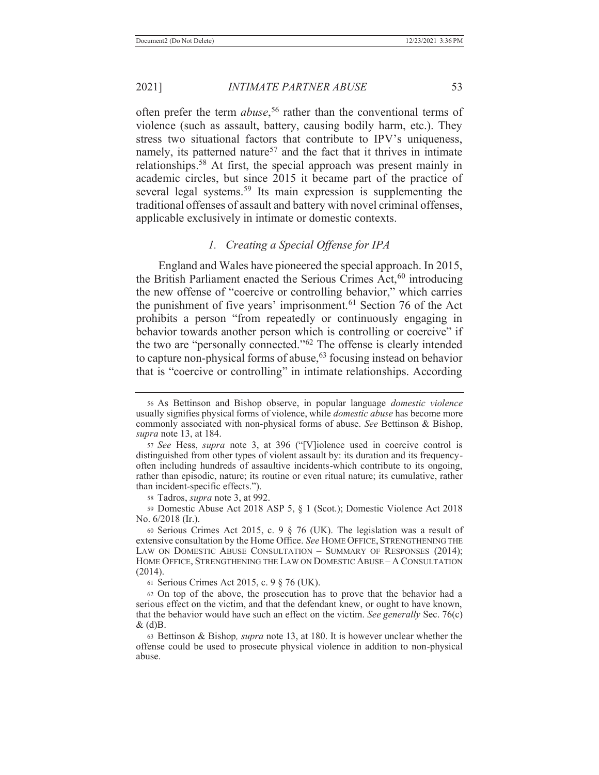often prefer the term *abuse*, 56 rather than the conventional terms of violence (such as assault, battery, causing bodily harm, etc.). They stress two situational factors that contribute to IPV's uniqueness, namely, its patterned nature<sup>57</sup> and the fact that it thrives in intimate relationships.58 At first, the special approach was present mainly in academic circles, but since 2015 it became part of the practice of several legal systems.<sup>59</sup> Its main expression is supplementing the traditional offenses of assault and battery with novel criminal offenses, applicable exclusively in intimate or domestic contexts.

## *1. Creating a Special Offense for IPA*

 England and Wales have pioneered the special approach. In 2015, the British Parliament enacted the Serious Crimes Act,  $60$  introducing the new offense of "coercive or controlling behavior," which carries the punishment of five years' imprisonment.<sup>61</sup> Section 76 of the Act prohibits a person "from repeatedly or continuously engaging in behavior towards another person which is controlling or coercive" if the two are "personally connected."62 The offense is clearly intended to capture non-physical forms of abuse,<sup>63</sup> focusing instead on behavior that is "coercive or controlling" in intimate relationships. According

58 Tadros, *supra* note 3, at 992.

59 Domestic Abuse Act 2018 ASP 5, § 1 (Scot.); Domestic Violence Act 2018 No. 6/2018 (Ir.).

60 Serious Crimes Act 2015, c. 9 § 76 (UK). The legislation was a result of extensive consultation by the Home Office. *See* HOME OFFICE, STRENGTHENING THE LAW ON DOMESTIC ABUSE CONSULTATION – SUMMARY OF RESPONSES (2014); HOME OFFICE, STRENGTHENING THE LAW ON DOMESTIC ABUSE – A CONSULTATION (2014).

<sup>61</sup> Serious Crimes Act 2015, c. 9 § 76 (UK).

62 On top of the above, the prosecution has to prove that the behavior had a serious effect on the victim, and that the defendant knew, or ought to have known, that the behavior would have such an effect on the victim. *See generally* Sec. 76(c)  $\&$  (d)B.

63 Bettinson & Bishop*, supra* note 13, at 180. It is however unclear whether the offense could be used to prosecute physical violence in addition to non-physical abuse.

<sup>56</sup> As Bettinson and Bishop observe, in popular language *domestic violence* usually signifies physical forms of violence, while *domestic abuse* has become more commonly associated with non-physical forms of abuse. *See* Bettinson & Bishop, *supra* note 13, at 184.

<sup>57</sup> *See* Hess, *supra* note 3, at 396 ("[V]iolence used in coercive control is distinguished from other types of violent assault by: its duration and its frequencyoften including hundreds of assaultive incidents-which contribute to its ongoing, rather than episodic, nature; its routine or even ritual nature; its cumulative, rather than incident-specific effects.").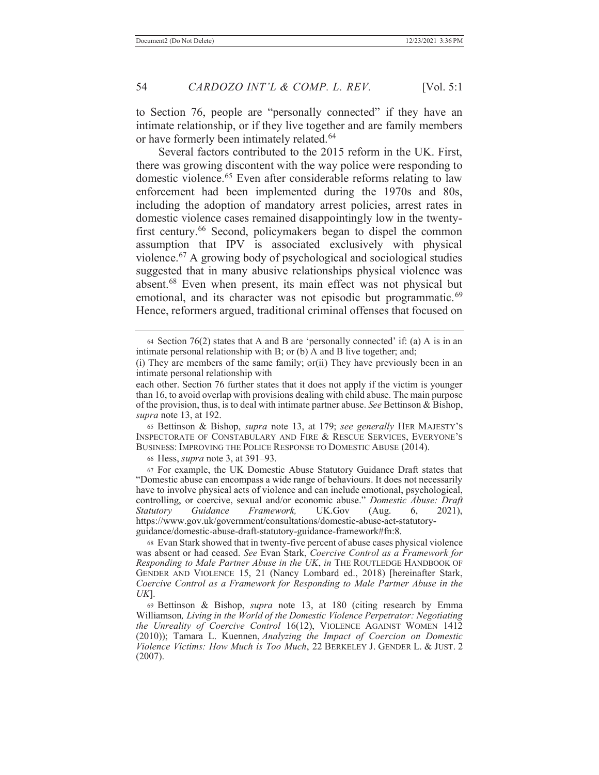to Section 76, people are "personally connected" if they have an intimate relationship, or if they live together and are family members or have formerly been intimately related.<sup>64</sup>

 Several factors contributed to the 2015 reform in the UK. First, there was growing discontent with the way police were responding to domestic violence.65 Even after considerable reforms relating to law enforcement had been implemented during the 1970s and 80s, including the adoption of mandatory arrest policies, arrest rates in domestic violence cases remained disappointingly low in the twentyfirst century.<sup>66</sup> Second, policymakers began to dispel the common assumption that IPV is associated exclusively with physical violence.67 A growing body of psychological and sociological studies suggested that in many abusive relationships physical violence was absent.68 Even when present, its main effect was not physical but emotional, and its character was not episodic but programmatic.<sup>69</sup> Hence, reformers argued, traditional criminal offenses that focused on

65 Bettinson & Bishop, *supra* note 13, at 179; *see generally* HER MAJESTY'S INSPECTORATE OF CONSTABULARY AND FIRE & RESCUE SERVICES, EVERYONE'S BUSINESS: IMPROVING THE POLICE RESPONSE TO DOMESTIC ABUSE (2014).

66 Hess, *supra* note 3, at 391–93.

<sup>64</sup> Section 76(2) states that A and B are 'personally connected' if: (a) A is in an intimate personal relationship with B; or (b) A and B live together; and;

<sup>(</sup>i) They are members of the same family; or(ii) They have previously been in an intimate personal relationship with

each other. Section 76 further states that it does not apply if the victim is younger than 16, to avoid overlap with provisions dealing with child abuse. The main purpose of the provision, thus, is to deal with intimate partner abuse. *See* Bettinson & Bishop, *supra* note 13, at 192.

<sup>67</sup> For example, the UK Domestic Abuse Statutory Guidance Draft states that "Domestic abuse can encompass a wide range of behaviours. It does not necessarily have to involve physical acts of violence and can include emotional, psychological, controlling, or coercive, sexual and/or economic abuse." *Domestic Abuse: Draft Statutory Guidance Framework,* UK.Gov (Aug. 6, 2021), https://www.gov.uk/government/consultations/domestic-abuse-act-statutoryguidance/domestic-abuse-draft-statutory-guidance-framework#fn:8.

<sup>68</sup> Evan Stark showed that in twenty-five percent of abuse cases physical violence was absent or had ceased. *See* Evan Stark, *Coercive Control as a Framework for Responding to Male Partner Abuse in the UK*, *in* THE ROUTLEDGE HANDBOOK OF GENDER AND VIOLENCE 15, 21 (Nancy Lombard ed., 2018) [hereinafter Stark, *Coercive Control as a Framework for Responding to Male Partner Abuse in the UK*].

<sup>69</sup> Bettinson & Bishop, *supra* note 13, at 180 (citing research by Emma Williamson*, Living in the World of the Domestic Violence Perpetrator: Negotiating the Unreality of Coercive Control* 16(12), VIOLENCE AGAINST WOMEN 1412 (2010)); Tamara L. Kuennen, *Analyzing the Impact of Coercion on Domestic Violence Victims: How Much is Too Much*, 22 BERKELEY J. GENDER L. & JUST. 2 (2007).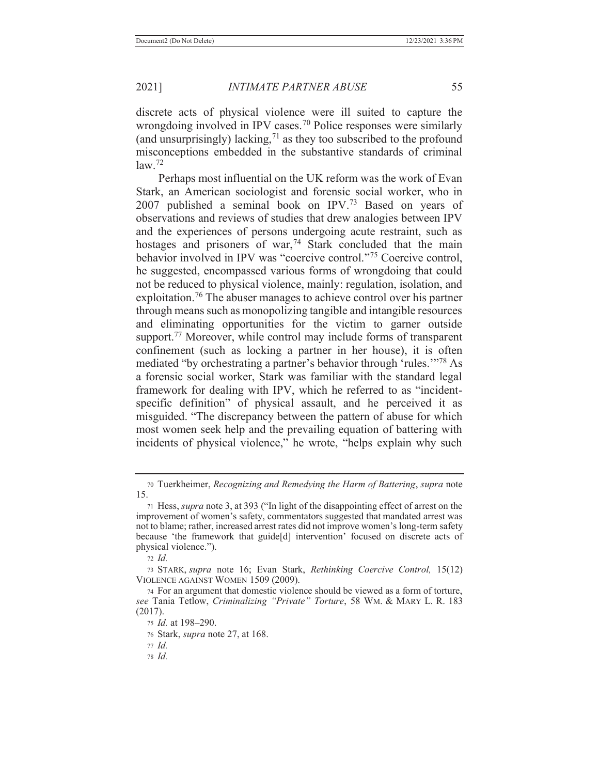discrete acts of physical violence were ill suited to capture the wrongdoing involved in IPV cases.<sup>70</sup> Police responses were similarly (and unsurprisingly) lacking, $71$  as they too subscribed to the profound misconceptions embedded in the substantive standards of criminal  $law<sup>72</sup>$ 

 Perhaps most influential on the UK reform was the work of Evan Stark, an American sociologist and forensic social worker, who in 2007 published a seminal book on  $IPV<sup>73</sup>$  Based on years of observations and reviews of studies that drew analogies between IPV and the experiences of persons undergoing acute restraint, such as hostages and prisoners of war,<sup>74</sup> Stark concluded that the main behavior involved in IPV was "coercive control."<sup>75</sup> Coercive control. he suggested, encompassed various forms of wrongdoing that could not be reduced to physical violence, mainly: regulation, isolation, and exploitation.<sup>76</sup> The abuser manages to achieve control over his partner through means such as monopolizing tangible and intangible resources and eliminating opportunities for the victim to garner outside support.<sup>77</sup> Moreover, while control may include forms of transparent confinement (such as locking a partner in her house), it is often mediated "by orchestrating a partner's behavior through 'rules.'"78 As a forensic social worker, Stark was familiar with the standard legal framework for dealing with IPV, which he referred to as "incidentspecific definition" of physical assault, and he perceived it as misguided. "The discrepancy between the pattern of abuse for which most women seek help and the prevailing equation of battering with incidents of physical violence," he wrote, "helps explain why such

73 STARK, *supra* note 16; Evan Stark, *Rethinking Coercive Control,* 15(12) VIOLENCE AGAINST WOMEN 1509 (2009).

78 *Id.*

<sup>70</sup> Tuerkheimer, *Recognizing and Remedying the Harm of Battering*, *supra* note 15.

<sup>71</sup> Hess, *supra* note 3, at 393 ("In light of the disappointing effect of arrest on the improvement of women's safety, commentators suggested that mandated arrest was not to blame; rather, increased arrest rates did not improve women's long-term safety because 'the framework that guide[d] intervention' focused on discrete acts of physical violence.").

<sup>72</sup> *Id.*

<sup>74</sup> For an argument that domestic violence should be viewed as a form of torture, *see* Tania Tetlow, *Criminalizing "Private" Torture*, 58 WM. & MARY L. R. 183 (2017).

<sup>75</sup> *Id.* at 198–290.

<sup>76</sup> Stark, *supra* note 27, at 168.

<sup>77</sup> *Id.*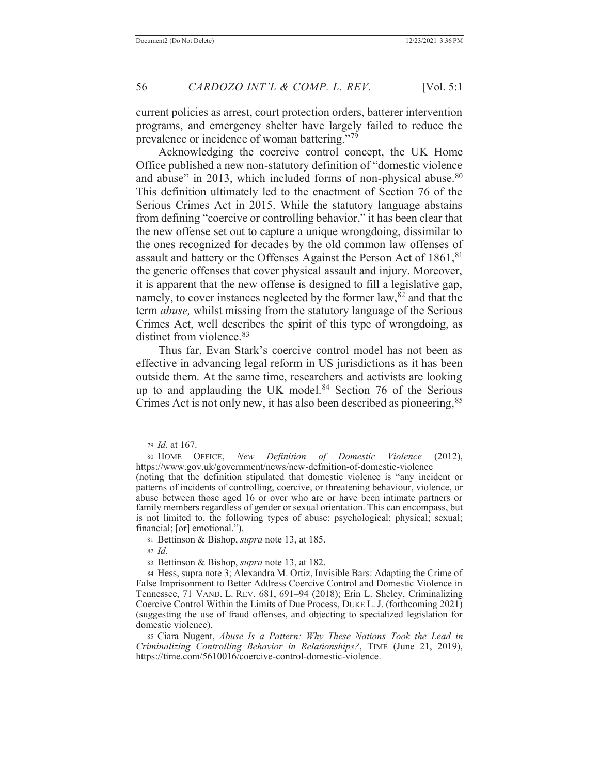current policies as arrest, court protection orders, batterer intervention programs, and emergency shelter have largely failed to reduce the prevalence or incidence of woman battering."<sup>79</sup>

 Acknowledging the coercive control concept, the UK Home Office published a new non-statutory definition of "domestic violence and abuse" in 2013, which included forms of non-physical abuse. $80$ This definition ultimately led to the enactment of Section 76 of the Serious Crimes Act in 2015. While the statutory language abstains from defining "coercive or controlling behavior," it has been clear that the new offense set out to capture a unique wrongdoing, dissimilar to the ones recognized for decades by the old common law offenses of assault and battery or the Offenses Against the Person Act of 1861,<sup>81</sup> the generic offenses that cover physical assault and injury. Moreover, it is apparent that the new offense is designed to fill a legislative gap, namely, to cover instances neglected by the former law,  $82$  and that the term *abuse,* whilst missing from the statutory language of the Serious Crimes Act, well describes the spirit of this type of wrongdoing, as distinct from violence.<sup>83</sup>

Thus far, Evan Stark's coercive control model has not been as effective in advancing legal reform in US jurisdictions as it has been outside them. At the same time, researchers and activists are looking up to and applauding the UK model.<sup>84</sup> Section 76 of the Serious Crimes Act is not only new, it has also been described as pioneering,<sup>85</sup>

<sup>79</sup> *Id.* at 167.

<sup>80</sup> HOME OFFICE, *New Definition of Domestic Violence* (2012), https://www.gov.uk/government/news/new-defmition-of-domestic-violence

<sup>(</sup>noting that the definition stipulated that domestic violence is "any incident or patterns of incidents of controlling, coercive, or threatening behaviour, violence, or abuse between those aged 16 or over who are or have been intimate partners or family members regardless of gender or sexual orientation. This can encompass, but is not limited to, the following types of abuse: psychological; physical; sexual; financial; [or] emotional.").

<sup>81</sup> Bettinson & Bishop, *supra* note 13, at 185.

<sup>82</sup> *Id.*

<sup>83</sup> Bettinson & Bishop, *supra* note 13, at 182.

<sup>84</sup> Hess, supra note 3; Alexandra M. Ortiz, Invisible Bars: Adapting the Crime of False Imprisonment to Better Address Coercive Control and Domestic Violence in Tennessee, 71 VAND. L. REV. 681, 691–94 (2018); Erin L. Sheley, Criminalizing Coercive Control Within the Limits of Due Process, DUKE L. J. (forthcoming 2021) (suggesting the use of fraud offenses, and objecting to specialized legislation for domestic violence).

<sup>85</sup> Ciara Nugent, *Abuse Is a Pattern: Why These Nations Took the Lead in Criminalizing Controlling Behavior in Relationships?*, TIME (June 21, 2019), https://time.com/5610016/coercive-control-domestic-violence.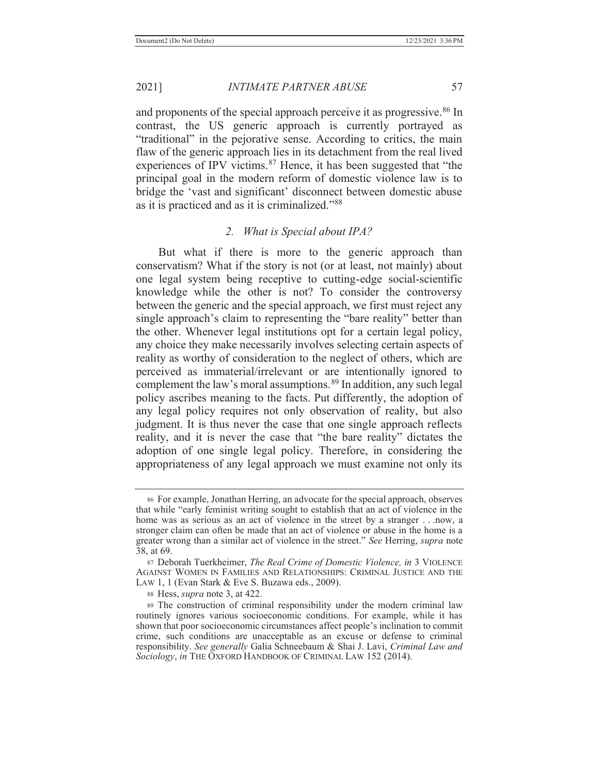and proponents of the special approach perceive it as progressive.<sup>86</sup> In contrast, the US generic approach is currently portrayed as "traditional" in the pejorative sense. According to critics, the main flaw of the generic approach lies in its detachment from the real lived experiences of IPV victims.<sup>87</sup> Hence, it has been suggested that "the principal goal in the modern reform of domestic violence law is to bridge the 'vast and significant' disconnect between domestic abuse as it is practiced and as it is criminalized."<sup>88</sup>

#### *2. What is Special about IPA?*

 But what if there is more to the generic approach than conservatism? What if the story is not (or at least, not mainly) about one legal system being receptive to cutting-edge social-scientific knowledge while the other is not? To consider the controversy between the generic and the special approach, we first must reject any single approach's claim to representing the "bare reality" better than the other. Whenever legal institutions opt for a certain legal policy, any choice they make necessarily involves selecting certain aspects of reality as worthy of consideration to the neglect of others, which are perceived as immaterial/irrelevant or are intentionally ignored to complement the law's moral assumptions.<sup>89</sup> In addition, any such legal policy ascribes meaning to the facts. Put differently, the adoption of any legal policy requires not only observation of reality, but also judgment. It is thus never the case that one single approach reflects reality, and it is never the case that "the bare reality" dictates the adoption of one single legal policy. Therefore, in considering the appropriateness of any legal approach we must examine not only its

<sup>86</sup> For example, Jonathan Herring, an advocate for the special approach, observes that while "early feminist writing sought to establish that an act of violence in the home was as serious as an act of violence in the street by a stranger . . .now, a stronger claim can often be made that an act of violence or abuse in the home is a greater wrong than a similar act of violence in the street." *See* Herring, *supra* note 38, at 69.

<sup>87</sup> Deborah Tuerkheimer, *The Real Crime of Domestic Violence, in* 3 VIOLENCE AGAINST WOMEN IN FAMILIES AND RELATIONSHIPS: CRIMINAL JUSTICE AND THE LAW 1, 1 (Evan Stark & Eve S. Buzawa eds., 2009).

<sup>88</sup> Hess, *supra* note 3, at 422.

<sup>89</sup> The construction of criminal responsibility under the modern criminal law routinely ignores various socioeconomic conditions. For example, while it has shown that poor socioeconomic circumstances affect people's inclination to commit crime, such conditions are unacceptable as an excuse or defense to criminal responsibility. *See generally* Galia Schneebaum & Shai J. Lavi, *Criminal Law and Sociology*, *in* THE OXFORD HANDBOOK OF CRIMINAL LAW 152 (2014).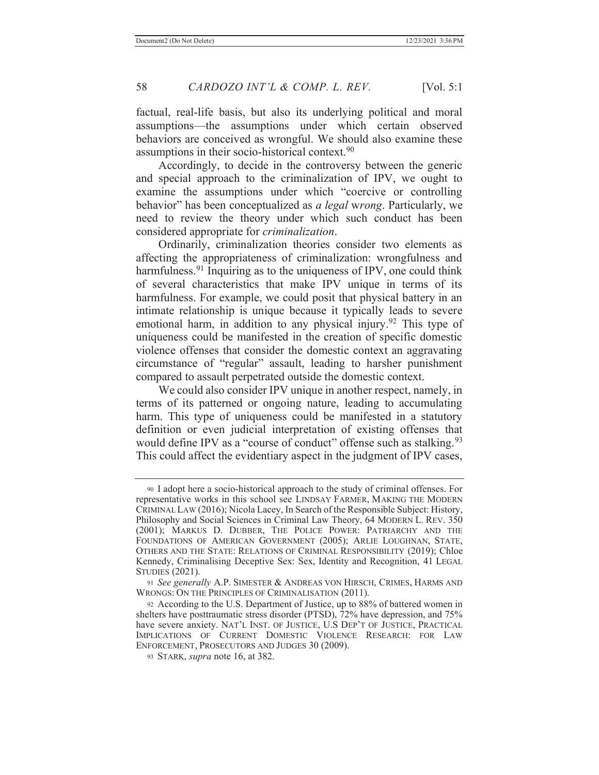factual, real-life basis, but also its underlying political and moral assumptions—the assumptions under which certain observed behaviors are conceived as wrongful. We should also examine these assumptions in their socio-historical context.90

 Accordingly, to decide in the controversy between the generic and special approach to the criminalization of IPV, we ought to examine the assumptions under which "coercive or controlling behavior" has been conceptualized as *a legal* w*rong*. Particularly, we need to review the theory under which such conduct has been considered appropriate for *criminalization*.

 Ordinarily, criminalization theories consider two elements as affecting the appropriateness of criminalization: wrongfulness and harmfulness.<sup>91</sup> Inquiring as to the uniqueness of IPV, one could think of several characteristics that make IPV unique in terms of its harmfulness. For example, we could posit that physical battery in an intimate relationship is unique because it typically leads to severe emotional harm, in addition to any physical injury.<sup>92</sup> This type of uniqueness could be manifested in the creation of specific domestic violence offenses that consider the domestic context an aggravating circumstance of "regular" assault, leading to harsher punishment compared to assault perpetrated outside the domestic context.

 We could also consider IPV unique in another respect, namely, in terms of its patterned or ongoing nature, leading to accumulating harm. This type of uniqueness could be manifested in a statutory definition or even judicial interpretation of existing offenses that would define IPV as a "course of conduct" offense such as stalking.<sup>93</sup> This could affect the evidentiary aspect in the judgment of IPV cases,

<sup>90</sup> I adopt here a socio-historical approach to the study of criminal offenses. For representative works in this school see LINDSAY FARMER, MAKING THE MODERN CRIMINAL LAW (2016); Nicola Lacey, In Search of the Responsible Subject: History, Philosophy and Social Sciences in Criminal Law Theory, 64 MODERN L. REV. 350 (2001); MARKUS D. DUBBER, THE POLICE POWER: PATRIARCHY AND THE FOUNDATIONS OF AMERICAN GOVERNMENT (2005); ARLIE LOUGHNAN, STATE, OTHERS AND THE STATE: RELATIONS OF CRIMINAL RESPONSIBILITY (2019); Chloe Kennedy, Criminalising Deceptive Sex: Sex, Identity and Recognition, 41 LEGAL STUDIES (2021).

<sup>91</sup> *See generally* A.P. SIMESTER & ANDREAS VON HIRSCH, CRIMES, HARMS AND WRONGS: ON THE PRINCIPLES OF CRIMINALISATION (2011).

<sup>92</sup> According to the U.S. Department of Justice, up to 88% of battered women in shelters have posttraumatic stress disorder (PTSD), 72% have depression, and 75% have severe anxiety. NAT'L INST. OF JUSTICE, U.S DEP'T OF JUSTICE, PRACTICAL IMPLICATIONS OF CURRENT DOMESTIC VIOLENCE RESEARCH: FOR LAW ENFORCEMENT, PROSECUTORS AND JUDGES 30 (2009).

<sup>93</sup> STARK, *supra* note 16, at 382.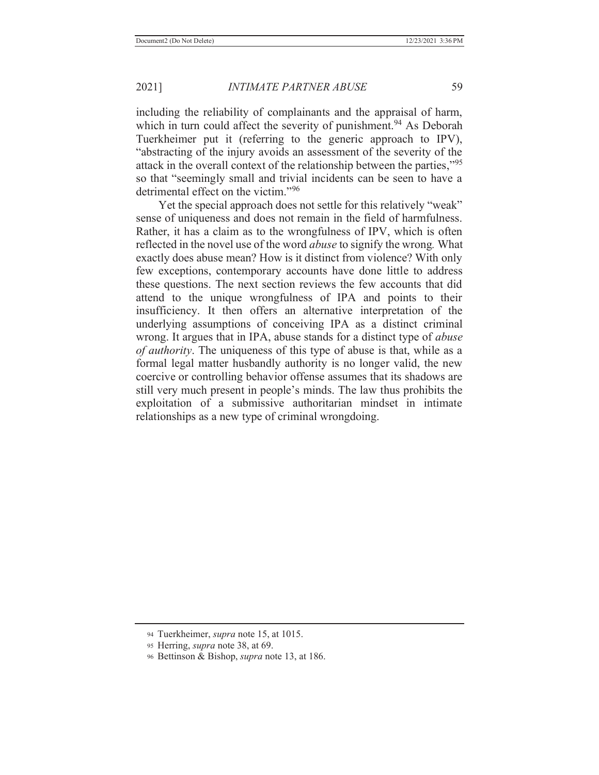including the reliability of complainants and the appraisal of harm, which in turn could affect the severity of punishment.<sup>94</sup> As Deborah Tuerkheimer put it (referring to the generic approach to IPV), "abstracting of the injury avoids an assessment of the severity of the attack in the overall context of the relationship between the parties,"<sup>95</sup> so that "seemingly small and trivial incidents can be seen to have a detrimental effect on the victim."<sup>96</sup>

Yet the special approach does not settle for this relatively "weak" sense of uniqueness and does not remain in the field of harmfulness. Rather, it has a claim as to the wrongfulness of IPV, which is often reflected in the novel use of the word *abuse* to signify the wrong*.* What exactly does abuse mean? How is it distinct from violence? With only few exceptions, contemporary accounts have done little to address these questions. The next section reviews the few accounts that did attend to the unique wrongfulness of IPA and points to their insufficiency. It then offers an alternative interpretation of the underlying assumptions of conceiving IPA as a distinct criminal wrong. It argues that in IPA, abuse stands for a distinct type of *abuse of authority*. The uniqueness of this type of abuse is that, while as a formal legal matter husbandly authority is no longer valid, the new coercive or controlling behavior offense assumes that its shadows are still very much present in people's minds. The law thus prohibits the exploitation of a submissive authoritarian mindset in intimate relationships as a new type of criminal wrongdoing.

<sup>94</sup> Tuerkheimer, *supra* note 15, at 1015.

<sup>95</sup> Herring, *supra* note 38, at 69.

<sup>96</sup> Bettinson & Bishop, *supra* note 13, at 186.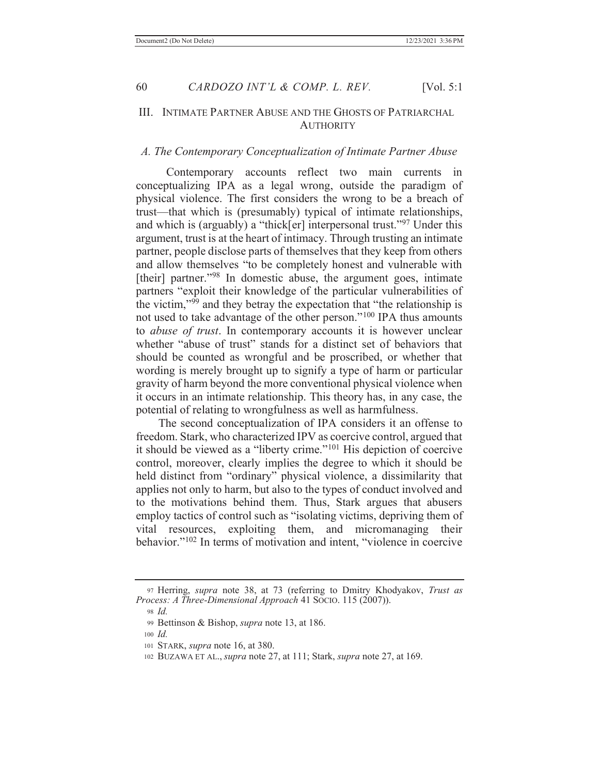#### III. INTIMATE PARTNER ABUSE AND THE GHOSTS OF PATRIARCHAL **AUTHORITY**

# *A. The Contemporary Conceptualization of Intimate Partner Abuse*

 Contemporary accounts reflect two main currents in conceptualizing IPA as a legal wrong, outside the paradigm of physical violence. The first considers the wrong to be a breach of trust—that which is (presumably) typical of intimate relationships, and which is (arguably) a "thick[er] interpersonal trust."97 Under this argument, trust is at the heart of intimacy. Through trusting an intimate partner, people disclose parts of themselves that they keep from others and allow themselves "to be completely honest and vulnerable with [their] partner."<sup>98</sup> In domestic abuse, the argument goes, intimate partners "exploit their knowledge of the particular vulnerabilities of the victim, $\mathfrak{g}_{99}$  and they betray the expectation that "the relationship is not used to take advantage of the other person."100 IPA thus amounts to *abuse of trust*. In contemporary accounts it is however unclear whether "abuse of trust" stands for a distinct set of behaviors that should be counted as wrongful and be proscribed, or whether that wording is merely brought up to signify a type of harm or particular gravity of harm beyond the more conventional physical violence when it occurs in an intimate relationship. This theory has, in any case, the potential of relating to wrongfulness as well as harmfulness.

 The second conceptualization of IPA considers it an offense to freedom. Stark, who characterized IPV as coercive control, argued that it should be viewed as a "liberty crime."101 His depiction of coercive control, moreover, clearly implies the degree to which it should be held distinct from "ordinary" physical violence, a dissimilarity that applies not only to harm, but also to the types of conduct involved and to the motivations behind them. Thus, Stark argues that abusers employ tactics of control such as "isolating victims, depriving them of vital resources, exploiting them, and micromanaging their behavior."<sup>102</sup> In terms of motivation and intent, "violence in coercive

<sup>97</sup> Herring, *supra* note 38, at 73 (referring to Dmitry Khodyakov, *Trust as Process: A Three-Dimensional Approach* 41 SOCIO. 115 (2007)).

<sup>98</sup> *Id.*

<sup>99</sup> Bettinson & Bishop, *supra* note 13, at 186.

<sup>100</sup> *Id.*

<sup>101</sup> STARK, *supra* note 16, at 380.

<sup>102</sup> BUZAWA ET AL., *supra* note 27, at 111; Stark, *supra* note 27, at 169.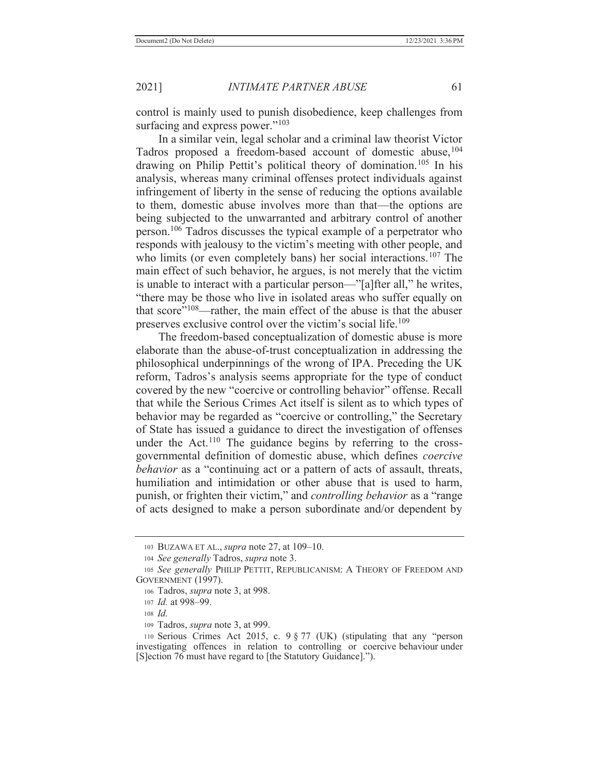control is mainly used to punish disobedience, keep challenges from surfacing and express power."<sup>103</sup>

 In a similar vein, legal scholar and a criminal law theorist Victor Tadros proposed a freedom-based account of domestic abuse, <sup>104</sup> drawing on Philip Pettit's political theory of domination.105 In his analysis, whereas many criminal offenses protect individuals against infringement of liberty in the sense of reducing the options available to them, domestic abuse involves more than that—the options are being subjected to the unwarranted and arbitrary control of another person.106 Tadros discusses the typical example of a perpetrator who responds with jealousy to the victim's meeting with other people, and who limits (or even completely bans) her social interactions.<sup>107</sup> The main effect of such behavior, he argues, is not merely that the victim is unable to interact with a particular person—"[a]fter all," he writes, "there may be those who live in isolated areas who suffer equally on that score $108$ —rather, the main effect of the abuse is that the abuser preserves exclusive control over the victim's social life.<sup>109</sup>

 The freedom-based conceptualization of domestic abuse is more elaborate than the abuse-of-trust conceptualization in addressing the philosophical underpinnings of the wrong of IPA. Preceding the UK reform, Tadros's analysis seems appropriate for the type of conduct covered by the new "coercive or controlling behavior" offense. Recall that while the Serious Crimes Act itself is silent as to which types of behavior may be regarded as "coercive or controlling," the Secretary of State has issued a guidance to direct the investigation of offenses under the Act.<sup>110</sup> The guidance begins by referring to the crossgovernmental definition of domestic abuse, which defines *coercive behavior* as a "continuing act or a pattern of acts of assault, threats, humiliation and intimidation or other abuse that is used to harm, punish, or frighten their victim," and *controlling behavior* as a "range of acts designed to make a person subordinate and/or dependent by

<sup>103</sup> BUZAWA ET AL., *supra* note 27, at 109–10.

<sup>104</sup> *See generally* Tadros, *supra* note 3.

<sup>105</sup> *See generally* PHILIP PETTIT, REPUBLICANISM: A THEORY OF FREEDOM AND GOVERNMENT (1997).

<sup>106</sup> Tadros, *supra* note 3, at 998.

<sup>107</sup> *Id.* at 998–99.

<sup>108</sup> *Id.*

<sup>109</sup> Tadros, *supra* note 3, at 999.

<sup>110</sup> Serious Crimes Act 2015, c. 9 § 77 (UK) (stipulating that any "person investigating offences in relation to controlling or coercive behaviour under [S]ection 76 must have regard to [the Statutory Guidance].").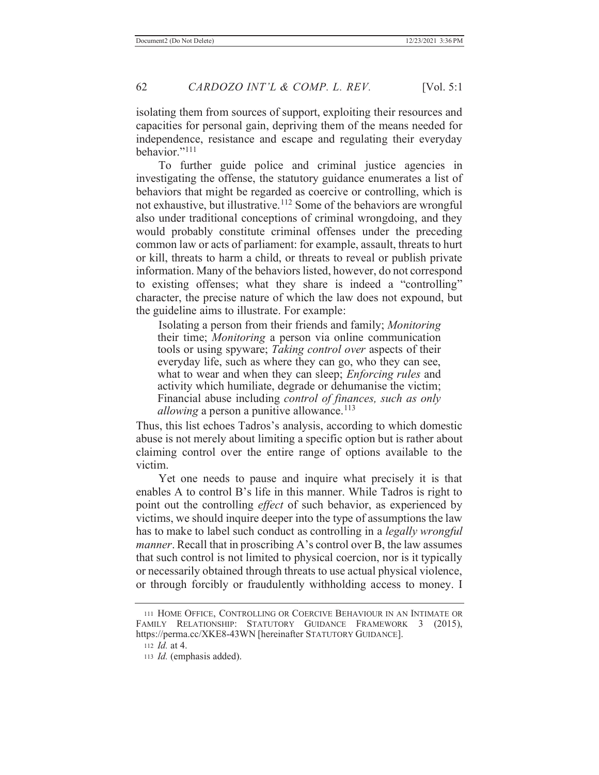isolating them from sources of support, exploiting their resources and capacities for personal gain, depriving them of the means needed for independence, resistance and escape and regulating their everyday behavior."<sup>111</sup>

 To further guide police and criminal justice agencies in investigating the offense, the statutory guidance enumerates a list of behaviors that might be regarded as coercive or controlling, which is not exhaustive, but illustrative.112 Some of the behaviors are wrongful also under traditional conceptions of criminal wrongdoing, and they would probably constitute criminal offenses under the preceding common law or acts of parliament: for example, assault, threats to hurt or kill, threats to harm a child, or threats to reveal or publish private information. Many of the behaviors listed, however, do not correspond to existing offenses; what they share is indeed a "controlling" character, the precise nature of which the law does not expound, but the guideline aims to illustrate. For example:

 Isolating a person from their friends and family; *Monitoring* their time; *Monitoring* a person via online communication tools or using spyware; *Taking control over* aspects of their everyday life, such as where they can go, who they can see, what to wear and when they can sleep; *Enforcing rules* and activity which humiliate, degrade or dehumanise the victim; Financial abuse including *control of finances, such as only allowing* a person a punitive allowance.<sup>113</sup>

Thus, this list echoes Tadros's analysis, according to which domestic abuse is not merely about limiting a specific option but is rather about claiming control over the entire range of options available to the victim.

 Yet one needs to pause and inquire what precisely it is that enables A to control B's life in this manner. While Tadros is right to point out the controlling *effect* of such behavior, as experienced by victims, we should inquire deeper into the type of assumptions the law has to make to label such conduct as controlling in a *legally wrongful manner*. Recall that in proscribing A's control over B, the law assumes that such control is not limited to physical coercion, nor is it typically or necessarily obtained through threats to use actual physical violence, or through forcibly or fraudulently withholding access to money. I

<sup>111</sup> HOME OFFICE, CONTROLLING OR COERCIVE BEHAVIOUR IN AN INTIMATE OR FAMILY RELATIONSHIP: STATUTORY GUIDANCE FRAMEWORK 3 (2015), https://perma.cc/XKE8-43WN [hereinafter STATUTORY GUIDANCE].

<sup>112</sup> *Id.* at 4.

<sup>113</sup> *Id.* (emphasis added).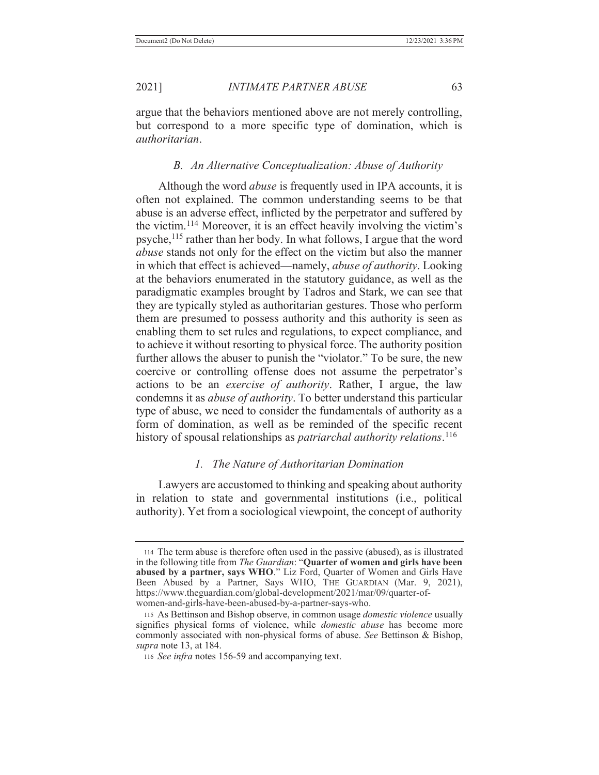argue that the behaviors mentioned above are not merely controlling, but correspond to a more specific type of domination, which is *authoritarian*.

# *B. An Alternative Conceptualization: Abuse of Authority*

 Although the word *abuse* is frequently used in IPA accounts, it is often not explained. The common understanding seems to be that abuse is an adverse effect, inflicted by the perpetrator and suffered by the victim.114 Moreover, it is an effect heavily involving the victim's psyche,115 rather than her body. In what follows, I argue that the word *abuse* stands not only for the effect on the victim but also the manner in which that effect is achieved—namely, *abuse of authority*. Looking at the behaviors enumerated in the statutory guidance, as well as the paradigmatic examples brought by Tadros and Stark, we can see that they are typically styled as authoritarian gestures. Those who perform them are presumed to possess authority and this authority is seen as enabling them to set rules and regulations, to expect compliance, and to achieve it without resorting to physical force. The authority position further allows the abuser to punish the "violator." To be sure, the new coercive or controlling offense does not assume the perpetrator's actions to be an *exercise of authority*. Rather, I argue, the law condemns it as *abuse of authority*. To better understand this particular type of abuse, we need to consider the fundamentals of authority as a form of domination, as well as be reminded of the specific recent history of spousal relationships as *patriarchal authority relations*. 116

## *1. The Nature of Authoritarian Domination*

 Lawyers are accustomed to thinking and speaking about authority in relation to state and governmental institutions (i.e., political authority). Yet from a sociological viewpoint, the concept of authority

<sup>114</sup> The term abuse is therefore often used in the passive (abused), as is illustrated in the following title from *The Guardian*: "**Quarter of women and girls have been abused by a partner, says WHO**." Liz Ford, Quarter of Women and Girls Have Been Abused by a Partner, Says WHO, THE GUARDIAN (Mar. 9, 2021), https://www.theguardian.com/global-development/2021/mar/09/quarter-ofwomen-and-girls-have-been-abused-by-a-partner-says-who.

<sup>115</sup> As Bettinson and Bishop observe, in common usage *domestic violence* usually signifies physical forms of violence, while *domestic abuse* has become more commonly associated with non-physical forms of abuse. *See* Bettinson & Bishop, *supra* note 13, at 184.

<sup>116</sup> *See infra* notes 156-59 and accompanying text.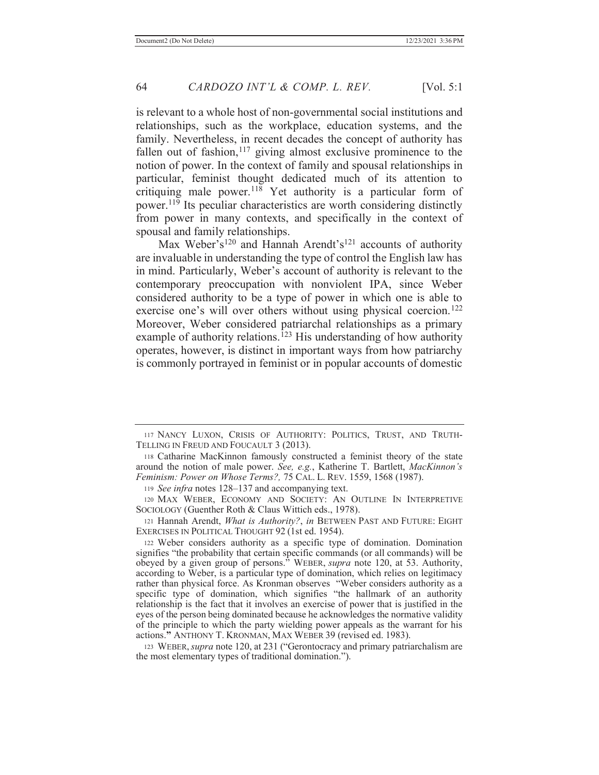is relevant to a whole host of non-governmental social institutions and relationships, such as the workplace, education systems, and the family. Nevertheless, in recent decades the concept of authority has fallen out of fashion, $117$  giving almost exclusive prominence to the notion of power. In the context of family and spousal relationships in particular, feminist thought dedicated much of its attention to critiquing male power.<sup>118</sup> Yet authority is a particular form of power.119 Its peculiar characteristics are worth considering distinctly from power in many contexts, and specifically in the context of spousal and family relationships.

Max Weber's<sup>120</sup> and Hannah Arendt's<sup>121</sup> accounts of authority are invaluable in understanding the type of control the English law has in mind. Particularly, Weber's account of authority is relevant to the contemporary preoccupation with nonviolent IPA, since Weber considered authority to be a type of power in which one is able to exercise one's will over others without using physical coercion.<sup>122</sup> Moreover, Weber considered patriarchal relationships as a primary example of authority relations.<sup>123</sup> His understanding of how authority operates, however, is distinct in important ways from how patriarchy is commonly portrayed in feminist or in popular accounts of domestic

123 WEBER,*supra* note 120, at 231 ("Gerontocracy and primary patriarchalism are the most elementary types of traditional domination.").

<sup>117</sup> NANCY LUXON, CRISIS OF AUTHORITY: POLITICS, TRUST, AND TRUTH-TELLING IN FREUD AND FOUCAULT 3 (2013).

<sup>118</sup> Catharine MacKinnon famously constructed a feminist theory of the state around the notion of male power. *See, e.g.*, Katherine T. Bartlett, *MacKinnon's Feminism: Power on Whose Terms?,* 75 CAL. L. REV. 1559, 1568 (1987).

<sup>119</sup> *See infra* notes 128–137 and accompanying text.

<sup>120</sup> MAX WEBER, ECONOMY AND SOCIETY: AN OUTLINE IN INTERPRETIVE SOCIOLOGY (Guenther Roth & Claus Wittich eds., 1978).

<sup>121</sup> Hannah Arendt, *What is Authority?*, *in* BETWEEN PAST AND FUTURE: EIGHT EXERCISES IN POLITICAL THOUGHT 92 (1st ed. 1954).

<sup>122</sup> Weber considers authority as a specific type of domination. Domination signifies "the probability that certain specific commands (or all commands) will be obeyed by a given group of persons." WEBER, *supra* note 120, at 53. Authority, according to Weber, is a particular type of domination, which relies on legitimacy rather than physical force. As Kronman observes "Weber considers authority as a specific type of domination, which signifies "the hallmark of an authority relationship is the fact that it involves an exercise of power that is justified in the eyes of the person being dominated because he acknowledges the normative validity of the principle to which the party wielding power appeals as the warrant for his actions.**"** ANTHONY T. KRONMAN, MAX WEBER 39 (revised ed. 1983).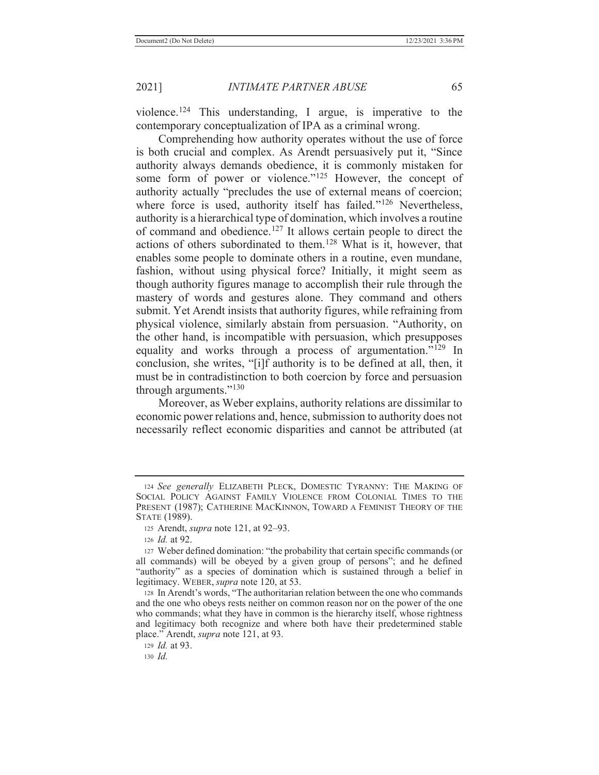violence.<sup>124</sup> This understanding, I argue, is imperative to the contemporary conceptualization of IPA as a criminal wrong.

 Comprehending how authority operates without the use of force is both crucial and complex. As Arendt persuasively put it, "Since authority always demands obedience, it is commonly mistaken for some form of power or violence."<sup>125</sup> However, the concept of authority actually "precludes the use of external means of coercion; where force is used, authority itself has failed."<sup>126</sup> Nevertheless, authority is a hierarchical type of domination, which involves a routine of command and obedience.127 It allows certain people to direct the actions of others subordinated to them.128 What is it, however, that enables some people to dominate others in a routine, even mundane, fashion, without using physical force? Initially, it might seem as though authority figures manage to accomplish their rule through the mastery of words and gestures alone. They command and others submit. Yet Arendt insists that authority figures, while refraining from physical violence, similarly abstain from persuasion. "Authority, on the other hand, is incompatible with persuasion, which presupposes equality and works through a process of argumentation."<sup>129</sup> In conclusion, she writes, "[i]f authority is to be defined at all, then, it must be in contradistinction to both coercion by force and persuasion through arguments."<sup>130</sup>

 Moreover, as Weber explains, authority relations are dissimilar to economic power relations and, hence, submission to authority does not necessarily reflect economic disparities and cannot be attributed (at

<sup>124</sup> *See generally* ELIZABETH PLECK, DOMESTIC TYRANNY: THE MAKING OF SOCIAL POLICY AGAINST FAMILY VIOLENCE FROM COLONIAL TIMES TO THE PRESENT (1987); CATHERINE MACKINNON, TOWARD A FEMINIST THEORY OF THE STATE (1989).

<sup>125</sup> Arendt, *supra* note 121, at 92–93.

<sup>126</sup> *Id.* at 92.

<sup>127</sup> Weber defined domination: "the probability that certain specific commands (or all commands) will be obeyed by a given group of persons"; and he defined "authority" as a species of domination which is sustained through a belief in legitimacy. WEBER, *supra* note 120, at 53.

<sup>128</sup> In Arendt's words, "The authoritarian relation between the one who commands and the one who obeys rests neither on common reason nor on the power of the one who commands; what they have in common is the hierarchy itself, whose rightness and legitimacy both recognize and where both have their predetermined stable place." Arendt, *supra* note 121, at 93.

<sup>129</sup> *Id.* at 93.

<sup>130</sup> *Id.*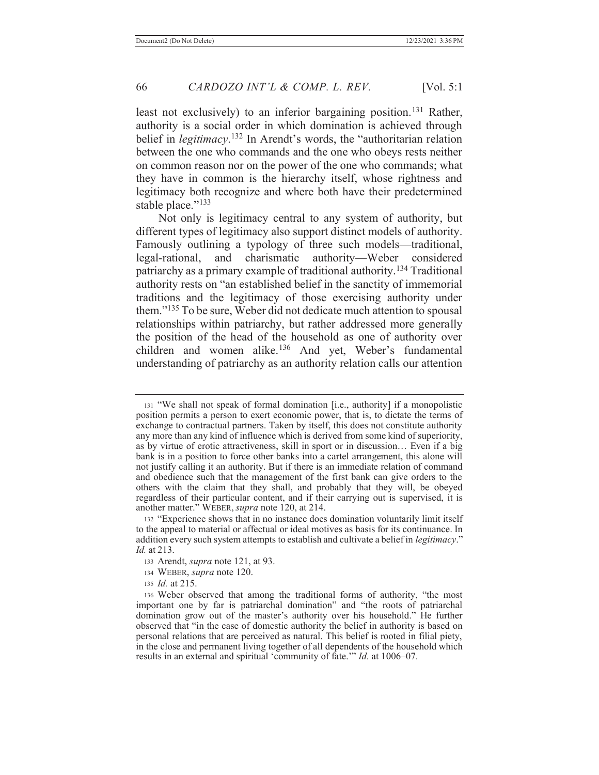least not exclusively) to an inferior bargaining position.<sup>131</sup> Rather, authority is a social order in which domination is achieved through belief in *legitimacy*. <sup>132</sup> In Arendt's words, the "authoritarian relation between the one who commands and the one who obeys rests neither on common reason nor on the power of the one who commands; what they have in common is the hierarchy itself, whose rightness and legitimacy both recognize and where both have their predetermined stable place."<sup>133</sup>

 Not only is legitimacy central to any system of authority, but different types of legitimacy also support distinct models of authority. Famously outlining a typology of three such models—traditional, legal-rational, and charismatic authority—Weber considered patriarchy as a primary example of traditional authority.134 Traditional authority rests on "an established belief in the sanctity of immemorial traditions and the legitimacy of those exercising authority under them."135 To be sure, Weber did not dedicate much attention to spousal relationships within patriarchy, but rather addressed more generally the position of the head of the household as one of authority over children and women alike.<sup>136</sup> And yet, Weber's fundamental understanding of patriarchy as an authority relation calls our attention

<sup>135</sup> *Id.* at 215.

<sup>131</sup> "We shall not speak of formal domination [i.e., authority] if a monopolistic position permits a person to exert economic power, that is, to dictate the terms of exchange to contractual partners. Taken by itself, this does not constitute authority any more than any kind of influence which is derived from some kind of superiority, as by virtue of erotic attractiveness, skill in sport or in discussion… Even if a big bank is in a position to force other banks into a cartel arrangement, this alone will not justify calling it an authority. But if there is an immediate relation of command and obedience such that the management of the first bank can give orders to the others with the claim that they shall, and probably that they will, be obeyed regardless of their particular content, and if their carrying out is supervised, it is another matter." WEBER, *supra* note 120, at 214.

<sup>132</sup> "Experience shows that in no instance does domination voluntarily limit itself to the appeal to material or affectual or ideal motives as basis for its continuance. In addition every such system attempts to establish and cultivate a belief in *legitimacy*." *Id.* at 213.

<sup>133</sup> Arendt, *supra* note 121, at 93.

<sup>134</sup> WEBER, *supra* note 120.

<sup>136</sup> Weber observed that among the traditional forms of authority, "the most important one by far is patriarchal domination" and "the roots of patriarchal domination grow out of the master's authority over his household." He further observed that "in the case of domestic authority the belief in authority is based on personal relations that are perceived as natural. This belief is rooted in filial piety, in the close and permanent living together of all dependents of the household which results in an external and spiritual 'community of fate.'" *Id.* at 1006–07.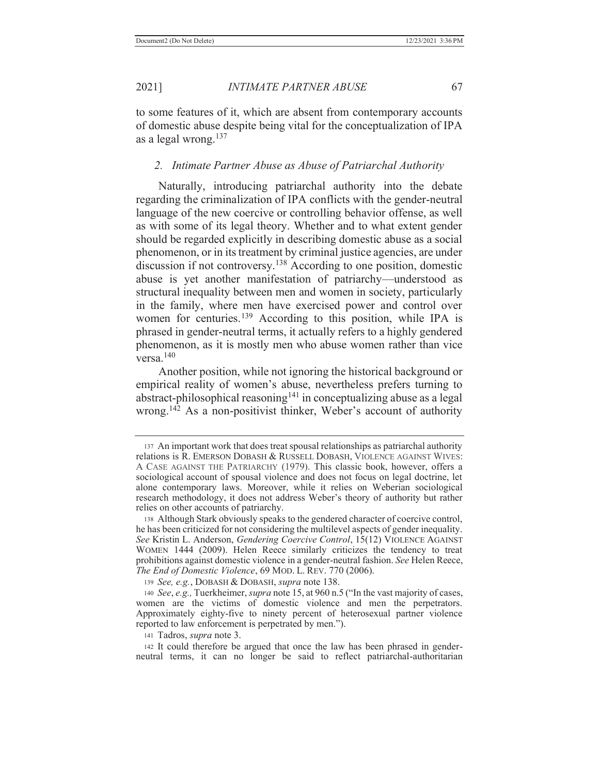to some features of it, which are absent from contemporary accounts of domestic abuse despite being vital for the conceptualization of IPA as a legal wrong.137

## *2. Intimate Partner Abuse as Abuse of Patriarchal Authority*

 Naturally, introducing patriarchal authority into the debate regarding the criminalization of IPA conflicts with the gender-neutral language of the new coercive or controlling behavior offense, as well as with some of its legal theory. Whether and to what extent gender should be regarded explicitly in describing domestic abuse as a social phenomenon, or in its treatment by criminal justice agencies, are under discussion if not controversy.138 According to one position, domestic abuse is yet another manifestation of patriarchy—understood as structural inequality between men and women in society, particularly in the family, where men have exercised power and control over women for centuries.139 According to this position, while IPA is phrased in gender-neutral terms, it actually refers to a highly gendered phenomenon, as it is mostly men who abuse women rather than vice versa.140

 Another position, while not ignoring the historical background or empirical reality of women's abuse, nevertheless prefers turning to abstract-philosophical reasoning<sup>141</sup> in conceptualizing abuse as a legal wrong.<sup>142</sup> As a non-positivist thinker, Weber's account of authority

<sup>137</sup> An important work that does treat spousal relationships as patriarchal authority relations is R. EMERSON DOBASH & RUSSELL DOBASH, VIOLENCE AGAINST WIVES: A CASE AGAINST THE PATRIARCHY (1979). This classic book, however, offers a sociological account of spousal violence and does not focus on legal doctrine, let alone contemporary laws. Moreover, while it relies on Weberian sociological research methodology, it does not address Weber's theory of authority but rather relies on other accounts of patriarchy.

<sup>138</sup> Although Stark obviously speaks to the gendered character of coercive control, he has been criticized for not considering the multilevel aspects of gender inequality. *See* Kristin L. Anderson, *Gendering Coercive Control*, 15(12) VIOLENCE AGAINST WOMEN 1444 (2009). Helen Reece similarly criticizes the tendency to treat prohibitions against domestic violence in a gender-neutral fashion. *See* Helen Reece, *The End of Domestic Violence*, 69 MOD. L. REV. 770 (2006).

<sup>139</sup> *See, e.g.*, DOBASH & DOBASH, *supra* note 138.

<sup>140</sup> *See*, *e.g.,* Tuerkheimer, *supra* note 15, at 960 n.5 ("In the vast majority of cases, women are the victims of domestic violence and men the perpetrators. Approximately eighty-five to ninety percent of heterosexual partner violence reported to law enforcement is perpetrated by men.").

<sup>141</sup> Tadros, *supra* note 3.

<sup>142</sup> It could therefore be argued that once the law has been phrased in genderneutral terms, it can no longer be said to reflect patriarchal-authoritarian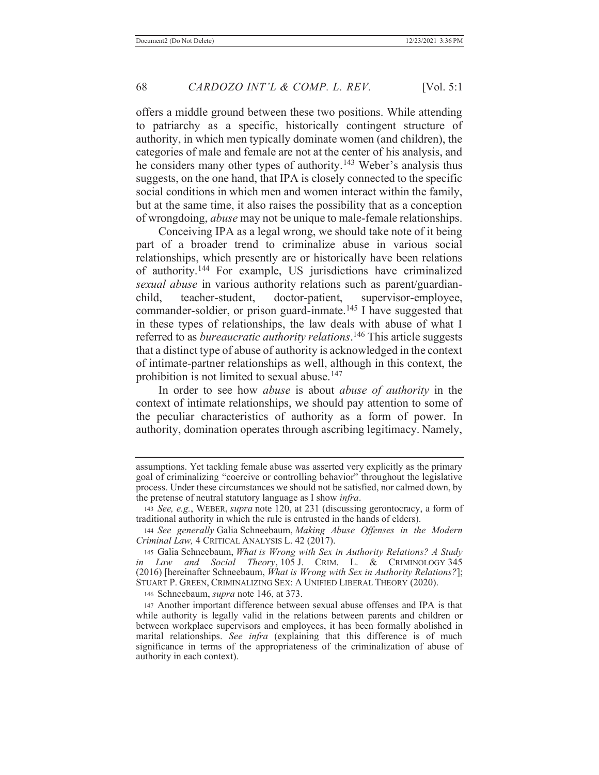offers a middle ground between these two positions. While attending to patriarchy as a specific, historically contingent structure of authority, in which men typically dominate women (and children), the categories of male and female are not at the center of his analysis, and he considers many other types of authority.<sup>143</sup> Weber's analysis thus suggests, on the one hand, that IPA is closely connected to the specific social conditions in which men and women interact within the family, but at the same time, it also raises the possibility that as a conception of wrongdoing, *abuse* may not be unique to male-female relationships.

 Conceiving IPA as a legal wrong, we should take note of it being part of a broader trend to criminalize abuse in various social relationships, which presently are or historically have been relations of authority.144 For example, US jurisdictions have criminalized *sexual abuse* in various authority relations such as parent/guardianchild, teacher-student, doctor-patient, supervisor-employee, commander-soldier, or prison guard-inmate.<sup>145</sup> I have suggested that in these types of relationships, the law deals with abuse of what I referred to as *bureaucratic authority relations*. <sup>146</sup> This article suggests that a distinct type of abuse of authority is acknowledged in the context of intimate-partner relationships as well, although in this context, the prohibition is not limited to sexual abuse.<sup>147</sup>

 In order to see how *abuse* is about *abuse of authority* in the context of intimate relationships, we should pay attention to some of the peculiar characteristics of authority as a form of power. In authority, domination operates through ascribing legitimacy. Namely,

146 Schneebaum, *supra* note 146, at 373.

assumptions. Yet tackling female abuse was asserted very explicitly as the primary goal of criminalizing "coercive or controlling behavior" throughout the legislative process. Under these circumstances we should not be satisfied, nor calmed down, by the pretense of neutral statutory language as I show *infra*.

<sup>143</sup> *See, e.g.*, WEBER, *supra* note 120, at 231 (discussing gerontocracy, a form of traditional authority in which the rule is entrusted in the hands of elders).

<sup>144</sup> *See generally* Galia Schneebaum, *Making Abuse Offenses in the Modern Criminal Law,* 4 CRITICAL ANALYSIS L. 42 (2017).

<sup>145</sup> Galia Schneebaum, *What is Wrong with Sex in Authority Relations? A Study in Law and Social Theory*, 105 J. CRIM. L. & CRIMINOLOGY 345 (2016) [hereinafter Schneebaum, *What is Wrong with Sex in Authority Relations?*]; STUART P. GREEN, CRIMINALIZING SEX: A UNIFIED LIBERAL THEORY (2020).

<sup>147</sup> Another important difference between sexual abuse offenses and IPA is that while authority is legally valid in the relations between parents and children or between workplace supervisors and employees, it has been formally abolished in marital relationships. *See infra* (explaining that this difference is of much significance in terms of the appropriateness of the criminalization of abuse of authority in each context).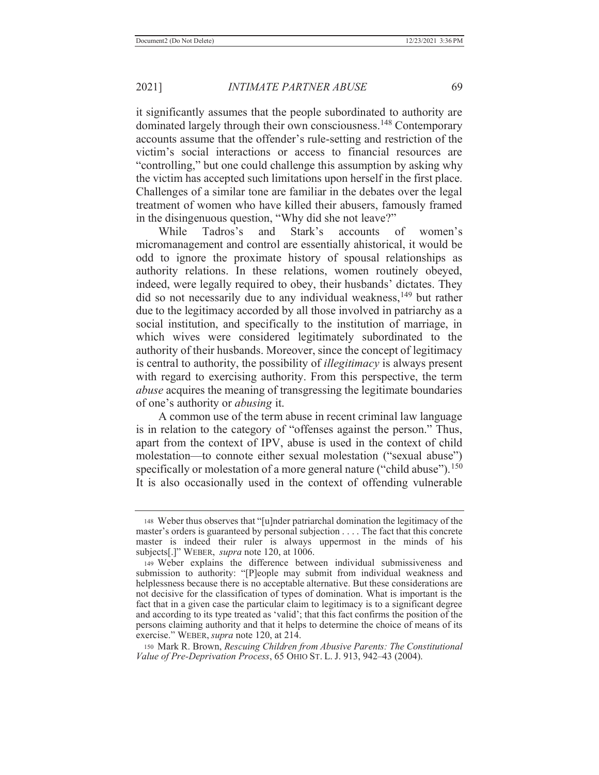it significantly assumes that the people subordinated to authority are dominated largely through their own consciousness.<sup>148</sup> Contemporary accounts assume that the offender's rule-setting and restriction of the victim's social interactions or access to financial resources are "controlling," but one could challenge this assumption by asking why the victim has accepted such limitations upon herself in the first place. Challenges of a similar tone are familiar in the debates over the legal treatment of women who have killed their abusers, famously framed in the disingenuous question, "Why did she not leave?"

While Tadros's and Stark's accounts of women's micromanagement and control are essentially ahistorical, it would be odd to ignore the proximate history of spousal relationships as authority relations. In these relations, women routinely obeyed, indeed, were legally required to obey, their husbands' dictates. They did so not necessarily due to any individual weakness,<sup>149</sup> but rather due to the legitimacy accorded by all those involved in patriarchy as a social institution, and specifically to the institution of marriage, in which wives were considered legitimately subordinated to the authority of their husbands. Moreover, since the concept of legitimacy is central to authority, the possibility of *illegitimacy* is always present with regard to exercising authority. From this perspective, the term *abuse* acquires the meaning of transgressing the legitimate boundaries of one's authority or *abusing* it.

 A common use of the term abuse in recent criminal law language is in relation to the category of "offenses against the person." Thus, apart from the context of IPV, abuse is used in the context of child molestation—to connote either sexual molestation ("sexual abuse") specifically or molestation of a more general nature ("child abuse").<sup>150</sup> It is also occasionally used in the context of offending vulnerable

150 Mark R. Brown, *Rescuing Children from Abusive Parents: The Constitutional Value of Pre-Deprivation Process*, 65 OHIO ST. L. J. 913, 942–43 (2004).

<sup>148</sup> Weber thus observes that "[u]nder patriarchal domination the legitimacy of the master's orders is guaranteed by personal subjection . . . . The fact that this concrete master is indeed their ruler is always uppermost in the minds of his subjects[.]" WEBER, *supra* note 120, at 1006.

<sup>149</sup> Weber explains the difference between individual submissiveness and submission to authority: "[P]eople may submit from individual weakness and helplessness because there is no acceptable alternative. But these considerations are not decisive for the classification of types of domination. What is important is the fact that in a given case the particular claim to legitimacy is to a significant degree and according to its type treated as 'valid'; that this fact confirms the position of the persons claiming authority and that it helps to determine the choice of means of its exercise." WEBER, *supra* note 120, at 214.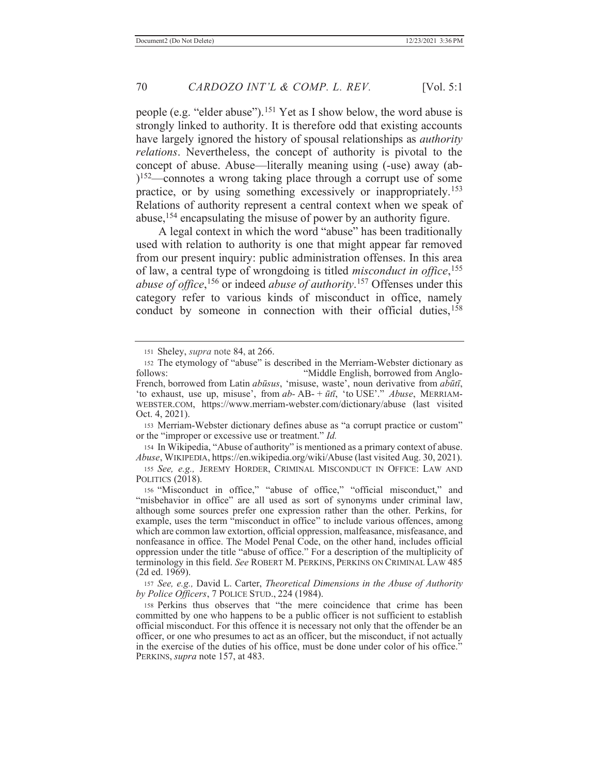people (e.g. "elder abuse").<sup>151</sup> Yet as I show below, the word abuse is strongly linked to authority. It is therefore odd that existing accounts have largely ignored the history of spousal relationships as *authority relations*. Nevertheless, the concept of authority is pivotal to the concept of abuse. Abuse—literally meaning using (-use) away (ab-  $152$ —connotes a wrong taking place through a corrupt use of some practice, or by using something excessively or inappropriately.153 Relations of authority represent a central context when we speak of abuse,<sup>154</sup> encapsulating the misuse of power by an authority figure.

A legal context in which the word "abuse" has been traditionally used with relation to authority is one that might appear far removed from our present inquiry: public administration offenses. In this area of law, a central type of wrongdoing is titled *misconduct in office*, 155 *abuse of office*, 156 or indeed *abuse of authority*. 157 Offenses under this category refer to various kinds of misconduct in office, namely conduct by someone in connection with their official duties,  $158$ 

153 Merriam-Webster dictionary defines abuse as "a corrupt practice or custom" or the "improper or excessive use or treatment." *Id.*

<sup>154</sup> In Wikipedia, "Abuse of authority" is mentioned as a primary context of abuse. *Abuse*, WIKIPEDIA, https://en.wikipedia.org/wiki/Abuse (last visited Aug. 30, 2021).

<sup>155</sup> *See, e.g.,* JEREMY HORDER, CRIMINAL MISCONDUCT IN OFFICE: LAW AND POLITICS (2018).

<sup>156</sup> "Misconduct in office," "abuse of office," "official misconduct," and "misbehavior in office" are all used as sort of synonyms under criminal law, although some sources prefer one expression rather than the other. Perkins, for example, uses the term "misconduct in office" to include various offences, among which are common law extortion, official oppression, malfeasance, misfeasance, and nonfeasance in office. The Model Penal Code, on the other hand, includes official oppression under the title "abuse of office." For a description of the multiplicity of terminology in this field. *See* ROBERT M. PERKINS, PERKINS ON CRIMINAL LAW 485 (2d ed. 1969).

<sup>157</sup> *See, e.g.,* David L. Carter, *Theoretical Dimensions in the Abuse of Authority by Police Officers*, 7 POLICE STUD., 224 (1984).

<sup>158</sup> Perkins thus observes that "the mere coincidence that crime has been committed by one who happens to be a public officer is not sufficient to establish official misconduct. For this offence it is necessary not only that the offender be an officer, or one who presumes to act as an officer, but the misconduct, if not actually in the exercise of the duties of his office, must be done under color of his office." PERKINS, *supra* note 157, at 483.

<sup>151</sup> Sheley, *supra* note 84, at 266.

<sup>152</sup> The etymology of "abuse" is described in the Merriam-Webster dictionary as follows: "Middle English, borrowed from Anglo-French, borrowed from Latin *abūsus*, 'misuse, waste', noun derivative from *abūtī*, 'to exhaust, use up, misuse', from *ab-* AB- + *ūtī*, 'to USE'." *Abuse*, MERRIAM-WEBSTER.COM, https://www.merriam-webster.com/dictionary/abuse (last visited Oct. 4, 2021).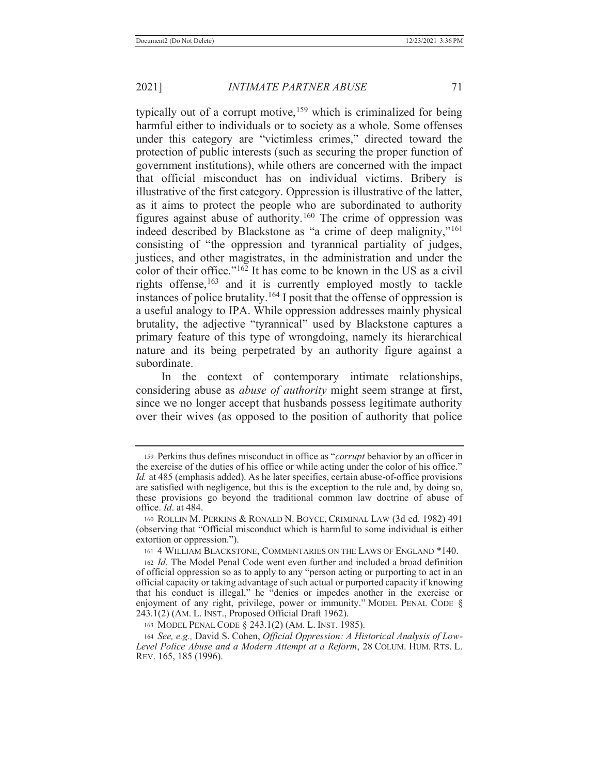typically out of a corrupt motive,  $159$  which is criminalized for being harmful either to individuals or to society as a whole. Some offenses under this category are "victimless crimes," directed toward the protection of public interests (such as securing the proper function of government institutions), while others are concerned with the impact that official misconduct has on individual victims. Bribery is illustrative of the first category. Oppression is illustrative of the latter, as it aims to protect the people who are subordinated to authority figures against abuse of authority.160 The crime of oppression was indeed described by Blackstone as "a crime of deep malignity,"<sup>161</sup> consisting of "the oppression and tyrannical partiality of judges, justices, and other magistrates, in the administration and under the color of their office."162 It has come to be known in the US as a civil rights offense, $163$  and it is currently employed mostly to tackle instances of police brutality.<sup>164</sup> I posit that the offense of oppression is a useful analogy to IPA. While oppression addresses mainly physical brutality, the adjective "tyrannical" used by Blackstone captures a primary feature of this type of wrongdoing, namely its hierarchical nature and its being perpetrated by an authority figure against a subordinate.

In the context of contemporary intimate relationships, considering abuse as *abuse of authority* might seem strange at first, since we no longer accept that husbands possess legitimate authority over their wives (as opposed to the position of authority that police

<sup>159</sup> Perkins thus defines misconduct in office as "*corrupt* behavior by an officer in the exercise of the duties of his office or while acting under the color of his office." *Id.* at 485 (emphasis added). As he later specifies, certain abuse-of-office provisions are satisfied with negligence, but this is the exception to the rule and, by doing so, these provisions go beyond the traditional common law doctrine of abuse of office. *Id*. at 484.

<sup>160</sup> ROLLIN M. PERKINS & RONALD N. BOYCE, CRIMINAL LAW (3d ed. 1982) 491 (observing that "Official misconduct which is harmful to some individual is either extortion or oppression.").

<sup>161 4</sup> WILLIAM BLACKSTONE, COMMENTARIES ON THE LAWS OF ENGLAND \*140.

<sup>162</sup> *Id*. The Model Penal Code went even further and included a broad definition of official oppression so as to apply to any "person acting or purporting to act in an official capacity or taking advantage of such actual or purported capacity if knowing that his conduct is illegal," he "denies or impedes another in the exercise or enjoyment of any right, privilege, power or immunity." MODEL PENAL CODE § 243.1(2) (AM. L. INST., Proposed Official Draft 1962).

<sup>163</sup> MODEL PENAL CODE § 243.1(2) (AM. L. INST. 1985).

<sup>164</sup> *See, e.g.,* David S. Cohen, *Official Oppression: A Historical Analysis of Low-Level Police Abuse and a Modern Attempt at a Reform*, 28 COLUM. HUM. RTS. L. REV. 165, 185 (1996).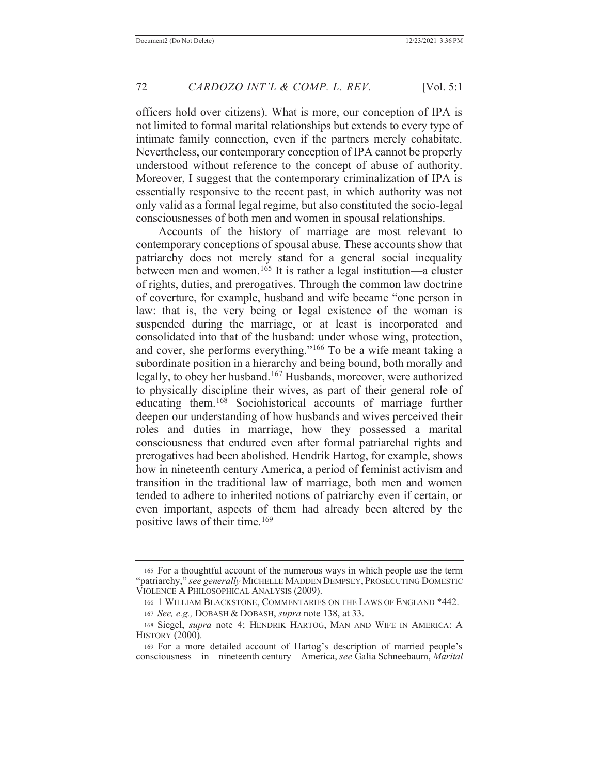officers hold over citizens). What is more, our conception of IPA is not limited to formal marital relationships but extends to every type of intimate family connection, even if the partners merely cohabitate. Nevertheless, our contemporary conception of IPA cannot be properly understood without reference to the concept of abuse of authority. Moreover, I suggest that the contemporary criminalization of IPA is essentially responsive to the recent past, in which authority was not only valid as a formal legal regime, but also constituted the socio-legal consciousnesses of both men and women in spousal relationships.

 Accounts of the history of marriage are most relevant to contemporary conceptions of spousal abuse. These accounts show that patriarchy does not merely stand for a general social inequality between men and women.<sup>165</sup> It is rather a legal institution—a cluster of rights, duties, and prerogatives. Through the common law doctrine of coverture, for example, husband and wife became "one person in law: that is, the very being or legal existence of the woman is suspended during the marriage, or at least is incorporated and consolidated into that of the husband: under whose wing, protection, and cover, she performs everything."166 To be a wife meant taking a subordinate position in a hierarchy and being bound, both morally and legally, to obey her husband.167 Husbands, moreover, were authorized to physically discipline their wives, as part of their general role of educating them.168 Sociohistorical accounts of marriage further deepen our understanding of how husbands and wives perceived their roles and duties in marriage, how they possessed a marital consciousness that endured even after formal patriarchal rights and prerogatives had been abolished. Hendrik Hartog, for example, shows how in nineteenth century America, a period of feminist activism and transition in the traditional law of marriage, both men and women tended to adhere to inherited notions of patriarchy even if certain, or even important, aspects of them had already been altered by the positive laws of their time.<sup>169</sup>

<sup>165</sup> For a thoughtful account of the numerous ways in which people use the term "patriarchy," *see generally* MICHELLE MADDEN DEMPSEY, PROSECUTING DOMESTIC VIOLENCE A PHILOSOPHICAL ANALYSIS (2009).

<sup>166 1</sup> WILLIAM BLACKSTONE, COMMENTARIES ON THE LAWS OF ENGLAND \*442.

<sup>167</sup> *See, e.g.,* DOBASH & DOBASH, *supra* note 138, at 33.

<sup>168</sup> Siegel, *supra* note 4; HENDRIK HARTOG, MAN AND WIFE IN AMERICA: A HISTORY (2000).

<sup>169</sup> For a more detailed account of Hartog's description of married people's consciousness in nineteenth century America, *see* Galia Schneebaum, *Marital*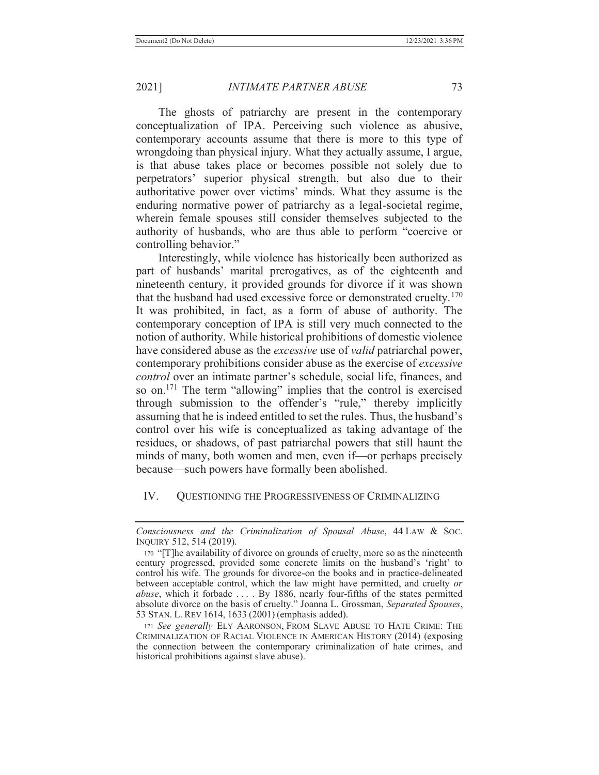The ghosts of patriarchy are present in the contemporary conceptualization of IPA. Perceiving such violence as abusive, contemporary accounts assume that there is more to this type of wrongdoing than physical injury. What they actually assume, I argue, is that abuse takes place or becomes possible not solely due to perpetrators' superior physical strength, but also due to their authoritative power over victims' minds. What they assume is the enduring normative power of patriarchy as a legal-societal regime, wherein female spouses still consider themselves subjected to the authority of husbands, who are thus able to perform "coercive or controlling behavior."

 Interestingly, while violence has historically been authorized as part of husbands' marital prerogatives, as of the eighteenth and nineteenth century, it provided grounds for divorce if it was shown that the husband had used excessive force or demonstrated cruelty.<sup>170</sup> It was prohibited, in fact, as a form of abuse of authority. The contemporary conception of IPA is still very much connected to the notion of authority. While historical prohibitions of domestic violence have considered abuse as the *excessive* use of *valid* patriarchal power, contemporary prohibitions consider abuse as the exercise of *excessive control* over an intimate partner's schedule, social life, finances, and so on.<sup>171</sup> The term "allowing" implies that the control is exercised through submission to the offender's "rule," thereby implicitly assuming that he is indeed entitled to set the rules. Thus, the husband's control over his wife is conceptualized as taking advantage of the residues, or shadows, of past patriarchal powers that still haunt the minds of many, both women and men, even if—or perhaps precisely because—such powers have formally been abolished.

#### IV. QUESTIONING THE PROGRESSIVENESS OF CRIMINALIZING

*Consciousness and the Criminalization of Spousal Abuse*, 44 LAW & SOC. INQUIRY 512, 514 (2019).

<sup>170</sup> "[T]he availability of divorce on grounds of cruelty, more so as the nineteenth century progressed, provided some concrete limits on the husband's 'right' to control his wife. The grounds for divorce-on the books and in practice-delineated between acceptable control, which the law might have permitted, and cruelty *or abuse*, which it forbade . . . . By 1886, nearly four-fifths of the states permitted absolute divorce on the basis of cruelty." Joanna L. Grossman, *Separated Spouses*, 53 STAN. L. REV 1614, 1633 (2001) (emphasis added).

<sup>171</sup> *See generally* ELY AARONSON, FROM SLAVE ABUSE TO HATE CRIME: THE CRIMINALIZATION OF RACIAL VIOLENCE IN AMERICAN HISTORY (2014) (exposing the connection between the contemporary criminalization of hate crimes, and historical prohibitions against slave abuse).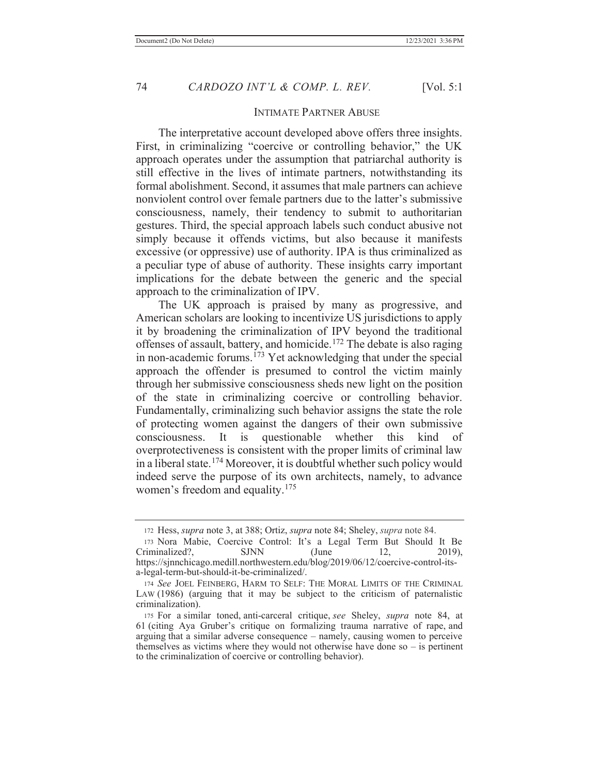#### INTIMATE PARTNER ABUSE

 The interpretative account developed above offers three insights. First, in criminalizing "coercive or controlling behavior," the UK approach operates under the assumption that patriarchal authority is still effective in the lives of intimate partners, notwithstanding its formal abolishment. Second, it assumes that male partners can achieve nonviolent control over female partners due to the latter's submissive consciousness, namely, their tendency to submit to authoritarian gestures. Third, the special approach labels such conduct abusive not simply because it offends victims, but also because it manifests excessive (or oppressive) use of authority. IPA is thus criminalized as a peculiar type of abuse of authority. These insights carry important implications for the debate between the generic and the special approach to the criminalization of IPV.

 The UK approach is praised by many as progressive, and American scholars are looking to incentivize US jurisdictions to apply it by broadening the criminalization of IPV beyond the traditional offenses of assault, battery, and homicide.172 The debate is also raging in non-academic forums.<sup> $173$ </sup> Yet acknowledging that under the special approach the offender is presumed to control the victim mainly through her submissive consciousness sheds new light on the position of the state in criminalizing coercive or controlling behavior. Fundamentally, criminalizing such behavior assigns the state the role of protecting women against the dangers of their own submissive consciousness. It is questionable whether this kind of overprotectiveness is consistent with the proper limits of criminal law in a liberal state.174 Moreover, it is doubtful whether such policy would indeed serve the purpose of its own architects, namely, to advance women's freedom and equality.<sup>175</sup>

<sup>172</sup> Hess, *supra* note 3, at 388; Ortiz, *supra* note 84; Sheley, *supra* note 84.

<sup>173</sup> Nora Mabie, Coercive Control: It's a Legal Term But Should It Be Criminalized?, SJNN (June 12, 2019), https://sjnnchicago.medill.northwestern.edu/blog/2019/06/12/coercive-control-itsa-legal-term-but-should-it-be-criminalized/.

<sup>174</sup> *See* JOEL FEINBERG, HARM TO SELF: THE MORAL LIMITS OF THE CRIMINAL LAW (1986) (arguing that it may be subject to the criticism of paternalistic criminalization).

<sup>175</sup> For a similar toned, anti-carceral critique, *see* Sheley, *supra* note 84, at 61 (citing Aya Gruber's critique on formalizing trauma narrative of rape, and arguing that a similar adverse consequence – namely, causing women to perceive themselves as victims where they would not otherwise have done so  $-$  is pertinent to the criminalization of coercive or controlling behavior).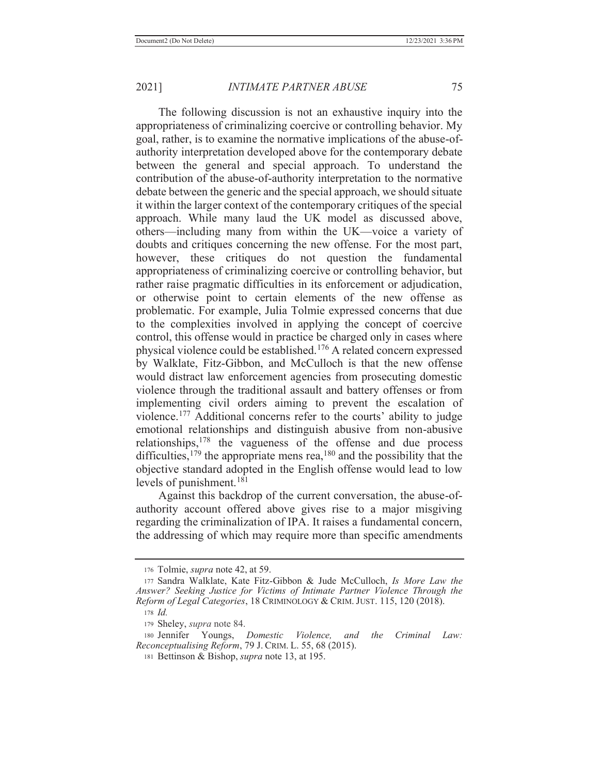The following discussion is not an exhaustive inquiry into the appropriateness of criminalizing coercive or controlling behavior. My goal, rather, is to examine the normative implications of the abuse-ofauthority interpretation developed above for the contemporary debate between the general and special approach. To understand the contribution of the abuse-of-authority interpretation to the normative debate between the generic and the special approach, we should situate it within the larger context of the contemporary critiques of the special approach. While many laud the UK model as discussed above, others—including many from within the UK—voice a variety of doubts and critiques concerning the new offense. For the most part, however, these critiques do not question the fundamental appropriateness of criminalizing coercive or controlling behavior, but rather raise pragmatic difficulties in its enforcement or adjudication, or otherwise point to certain elements of the new offense as problematic. For example, Julia Tolmie expressed concerns that due to the complexities involved in applying the concept of coercive control, this offense would in practice be charged only in cases where physical violence could be established.176 A related concern expressed by Walklate, Fitz-Gibbon, and McCulloch is that the new offense would distract law enforcement agencies from prosecuting domestic violence through the traditional assault and battery offenses or from implementing civil orders aiming to prevent the escalation of violence.177 Additional concerns refer to the courts' ability to judge emotional relationships and distinguish abusive from non-abusive relationships,178 the vagueness of the offense and due process difficulties,  $179$  the appropriate mens rea,  $180$  and the possibility that the objective standard adopted in the English offense would lead to low levels of punishment.<sup>181</sup>

 Against this backdrop of the current conversation, the abuse-ofauthority account offered above gives rise to a major misgiving regarding the criminalization of IPA. It raises a fundamental concern, the addressing of which may require more than specific amendments

<sup>176</sup> Tolmie, *supra* note 42, at 59.

<sup>177</sup> Sandra Walklate, Kate Fitz-Gibbon & Jude McCulloch, *Is More Law the Answer? Seeking Justice for Victims of Intimate Partner Violence Through the Reform of Legal Categories*, 18 CRIMINOLOGY & CRIM. JUST. 115, 120 (2018).

<sup>178</sup> *Id.*

<sup>179</sup> Sheley, *supra* note 84.

<sup>180</sup> Jennifer Youngs, *Domestic Violence, and the Criminal Law: Reconceptualising Reform*, 79 J. CRIM. L. 55, 68 (2015).

<sup>181</sup> Bettinson & Bishop, *supra* note 13, at 195.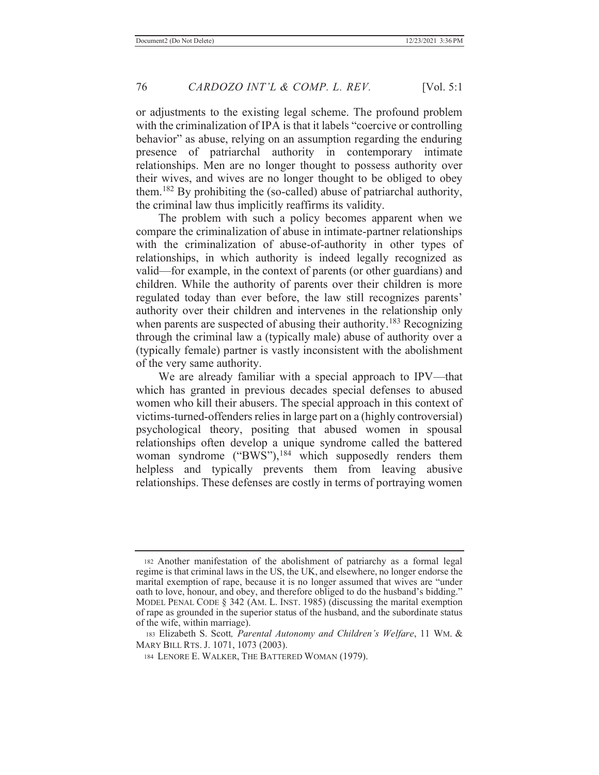or adjustments to the existing legal scheme. The profound problem with the criminalization of IPA is that it labels "coercive or controlling" behavior" as abuse, relying on an assumption regarding the enduring presence of patriarchal authority in contemporary intimate relationships. Men are no longer thought to possess authority over their wives, and wives are no longer thought to be obliged to obey them.182 By prohibiting the (so-called) abuse of patriarchal authority, the criminal law thus implicitly reaffirms its validity.

 The problem with such a policy becomes apparent when we compare the criminalization of abuse in intimate-partner relationships with the criminalization of abuse-of-authority in other types of relationships, in which authority is indeed legally recognized as valid—for example, in the context of parents (or other guardians) and children. While the authority of parents over their children is more regulated today than ever before, the law still recognizes parents' authority over their children and intervenes in the relationship only when parents are suspected of abusing their authority.<sup>183</sup> Recognizing through the criminal law a (typically male) abuse of authority over a (typically female) partner is vastly inconsistent with the abolishment of the very same authority.

 We are already familiar with a special approach to IPV—that which has granted in previous decades special defenses to abused women who kill their abusers. The special approach in this context of victims-turned-offenders relies in large part on a (highly controversial) psychological theory, positing that abused women in spousal relationships often develop a unique syndrome called the battered woman syndrome ("BWS"),<sup>184</sup> which supposedly renders them helpless and typically prevents them from leaving abusive relationships. These defenses are costly in terms of portraying women

<sup>182</sup> Another manifestation of the abolishment of patriarchy as a formal legal regime is that criminal laws in the US, the UK, and elsewhere, no longer endorse the marital exemption of rape, because it is no longer assumed that wives are "under oath to love, honour, and obey, and therefore obliged to do the husband's bidding." MODEL PENAL CODE § 342 (AM. L. INST. 1985) (discussing the marital exemption of rape as grounded in the superior status of the husband, and the subordinate status of the wife, within marriage).

 <sup>183</sup> Elizabeth S. Scott*, Parental Autonomy and Children's Welfare*, 11 WM. & MARY BILL RTS. J. 1071, 1073 (2003).

<sup>184</sup> LENORE E. WALKER, THE BATTERED WOMAN (1979).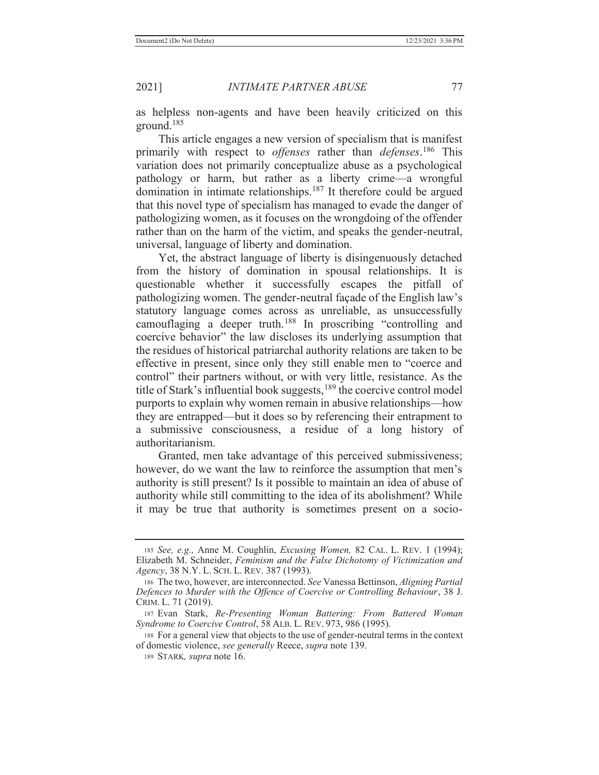as helpless non-agents and have been heavily criticized on this ground.185

 This article engages a new version of specialism that is manifest primarily with respect to *offenses* rather than *defenses*. 186 This variation does not primarily conceptualize abuse as a psychological pathology or harm, but rather as a liberty crime—a wrongful domination in intimate relationships.187 It therefore could be argued that this novel type of specialism has managed to evade the danger of pathologizing women, as it focuses on the wrongdoing of the offender rather than on the harm of the victim, and speaks the gender-neutral, universal, language of liberty and domination.

 Yet, the abstract language of liberty is disingenuously detached from the history of domination in spousal relationships. It is questionable whether it successfully escapes the pitfall of pathologizing women. The gender-neutral façade of the English law's statutory language comes across as unreliable, as unsuccessfully camouflaging a deeper truth.188 In proscribing "controlling and coercive behavior" the law discloses its underlying assumption that the residues of historical patriarchal authority relations are taken to be effective in present, since only they still enable men to "coerce and control" their partners without, or with very little, resistance. As the title of Stark's influential book suggests,<sup>189</sup> the coercive control model purports to explain why women remain in abusive relationships—how they are entrapped—but it does so by referencing their entrapment to a submissive consciousness, a residue of a long history of authoritarianism.

 Granted, men take advantage of this perceived submissiveness; however, do we want the law to reinforce the assumption that men's authority is still present? Is it possible to maintain an idea of abuse of authority while still committing to the idea of its abolishment? While it may be true that authority is sometimes present on a socio-

<sup>185</sup> *See, e.g.,* Anne M. Coughlin, *Excusing Women,* 82 CAL. L. REV. 1 (1994); Elizabeth M. Schneider, *Feminism and the False Dichotomy of Victimization and Agency*, 38 N.Y. L. SCH. L. REV. 387 (1993).

<sup>186</sup> The two, however, are interconnected. *See* Vanessa Bettinson, *Aligning Partial Defences to Murder with the Offence of Coercive or Controlling Behaviour*, 38 J. CRIM. L. 71 (2019).

<sup>187</sup> Evan Stark, *Re-Presenting Woman Battering: From Battered Woman Syndrome to Coercive Control*, 58 ALB. L. REV. 973, 986 (1995).

<sup>188</sup> For a general view that objects to the use of gender-neutral terms in the context of domestic violence, *see generally* Reece, *supra* note 139.

<sup>189</sup> STARK*, supra* note 16.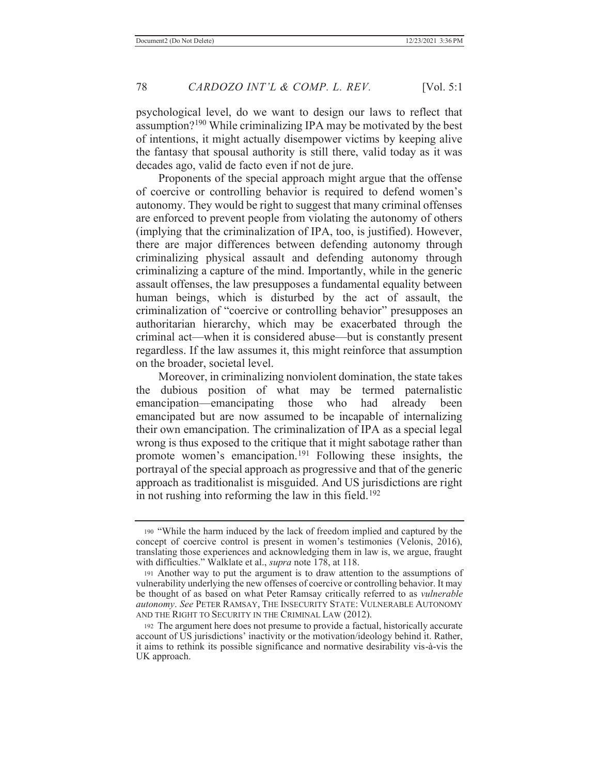psychological level, do we want to design our laws to reflect that assumption?190 While criminalizing IPA may be motivated by the best of intentions, it might actually disempower victims by keeping alive the fantasy that spousal authority is still there, valid today as it was decades ago, valid de facto even if not de jure.

 Proponents of the special approach might argue that the offense of coercive or controlling behavior is required to defend women's autonomy. They would be right to suggest that many criminal offenses are enforced to prevent people from violating the autonomy of others (implying that the criminalization of IPA, too, is justified). However, there are major differences between defending autonomy through criminalizing physical assault and defending autonomy through criminalizing a capture of the mind. Importantly, while in the generic assault offenses, the law presupposes a fundamental equality between human beings, which is disturbed by the act of assault, the criminalization of "coercive or controlling behavior" presupposes an authoritarian hierarchy, which may be exacerbated through the criminal act—when it is considered abuse—but is constantly present regardless. If the law assumes it, this might reinforce that assumption on the broader, societal level.

 Moreover, in criminalizing nonviolent domination, the state takes the dubious position of what may be termed paternalistic emancipation—emancipating those who had already been emancipated but are now assumed to be incapable of internalizing their own emancipation. The criminalization of IPA as a special legal wrong is thus exposed to the critique that it might sabotage rather than promote women's emancipation.191 Following these insights, the portrayal of the special approach as progressive and that of the generic approach as traditionalist is misguided. And US jurisdictions are right in not rushing into reforming the law in this field.<sup>192</sup>

<sup>190</sup> "While the harm induced by the lack of freedom implied and captured by the concept of coercive control is present in women's testimonies (Velonis, 2016), translating those experiences and acknowledging them in law is, we argue, fraught with difficulties." Walklate et al., *supra* note 178, at 118.

<sup>191</sup> Another way to put the argument is to draw attention to the assumptions of vulnerability underlying the new offenses of coercive or controlling behavior. It may be thought of as based on what Peter Ramsay critically referred to as *vulnerable autonomy*. *See* PETER RAMSAY, THE INSECURITY STATE: VULNERABLE AUTONOMY AND THE RIGHT TO SECURITY IN THE CRIMINAL LAW (2012).

<sup>192</sup> The argument here does not presume to provide a factual, historically accurate account of US jurisdictions' inactivity or the motivation/ideology behind it. Rather, it aims to rethink its possible significance and normative desirability vis-à-vis the UK approach.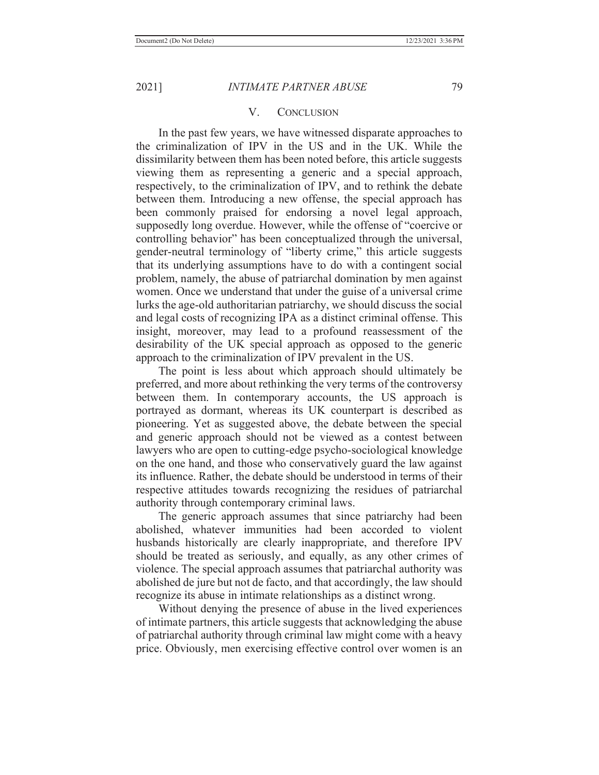#### V. CONCLUSION

 In the past few years, we have witnessed disparate approaches to the criminalization of IPV in the US and in the UK. While the dissimilarity between them has been noted before, this article suggests viewing them as representing a generic and a special approach, respectively, to the criminalization of IPV, and to rethink the debate between them. Introducing a new offense, the special approach has been commonly praised for endorsing a novel legal approach, supposedly long overdue. However, while the offense of "coercive or controlling behavior" has been conceptualized through the universal, gender-neutral terminology of "liberty crime," this article suggests that its underlying assumptions have to do with a contingent social problem, namely, the abuse of patriarchal domination by men against women. Once we understand that under the guise of a universal crime lurks the age-old authoritarian patriarchy, we should discuss the social and legal costs of recognizing IPA as a distinct criminal offense. This insight, moreover, may lead to a profound reassessment of the desirability of the UK special approach as opposed to the generic approach to the criminalization of IPV prevalent in the US.

 The point is less about which approach should ultimately be preferred, and more about rethinking the very terms of the controversy between them. In contemporary accounts, the US approach is portrayed as dormant, whereas its UK counterpart is described as pioneering. Yet as suggested above, the debate between the special and generic approach should not be viewed as a contest between lawyers who are open to cutting-edge psycho-sociological knowledge on the one hand, and those who conservatively guard the law against its influence. Rather, the debate should be understood in terms of their respective attitudes towards recognizing the residues of patriarchal authority through contemporary criminal laws.

 The generic approach assumes that since patriarchy had been abolished, whatever immunities had been accorded to violent husbands historically are clearly inappropriate, and therefore IPV should be treated as seriously, and equally, as any other crimes of violence. The special approach assumes that patriarchal authority was abolished de jure but not de facto, and that accordingly, the law should recognize its abuse in intimate relationships as a distinct wrong.

 Without denying the presence of abuse in the lived experiences of intimate partners, this article suggests that acknowledging the abuse of patriarchal authority through criminal law might come with a heavy price. Obviously, men exercising effective control over women is an